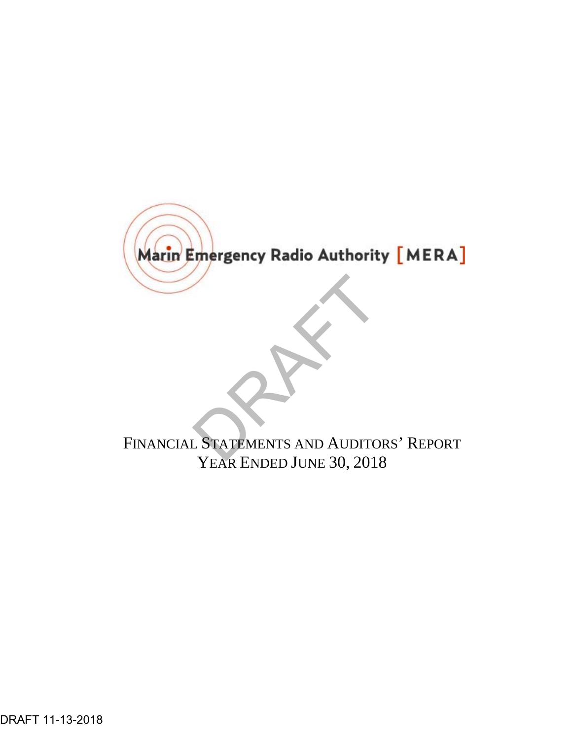# Marin Emergency Radio Authority [MERA]

FINANCIAL STATEMENTS AND AUDITORS' REPORT YEAR ENDED JUNE 30, 2018 EXTRACTED TO A COLLEGE AND AUDITORS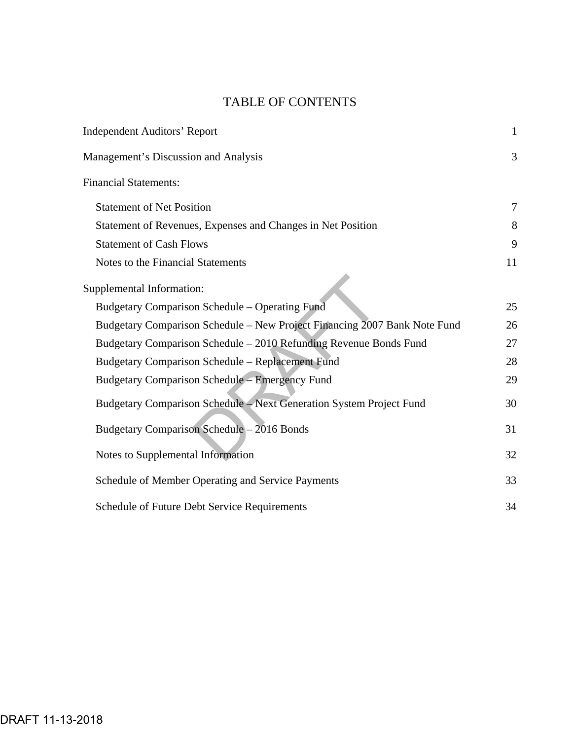# TABLE OF CONTENTS

| <b>Independent Auditors' Report</b>                                       | $\mathbf{1}$ |
|---------------------------------------------------------------------------|--------------|
| Management's Discussion and Analysis                                      | 3            |
| <b>Financial Statements:</b>                                              |              |
| <b>Statement of Net Position</b>                                          | $\tau$       |
| Statement of Revenues, Expenses and Changes in Net Position               | 8            |
| <b>Statement of Cash Flows</b>                                            | 9            |
| Notes to the Financial Statements                                         | 11           |
| Supplemental Information:                                                 |              |
| Budgetary Comparison Schedule – Operating Fund                            | 25           |
| Budgetary Comparison Schedule - New Project Financing 2007 Bank Note Fund | 26           |
| Budgetary Comparison Schedule - 2010 Refunding Revenue Bonds Fund         | 27           |
| Budgetary Comparison Schedule - Replacement Fund                          | 28           |
| Budgetary Comparison Schedule - Emergency Fund                            | 29           |
| Budgetary Comparison Schedule - Next Generation System Project Fund       | 30           |
| Budgetary Comparison Schedule - 2016 Bonds                                | 31           |
| Notes to Supplemental Information                                         | 32           |
| Schedule of Member Operating and Service Payments                         | 33           |
| Schedule of Future Debt Service Requirements                              | 34           |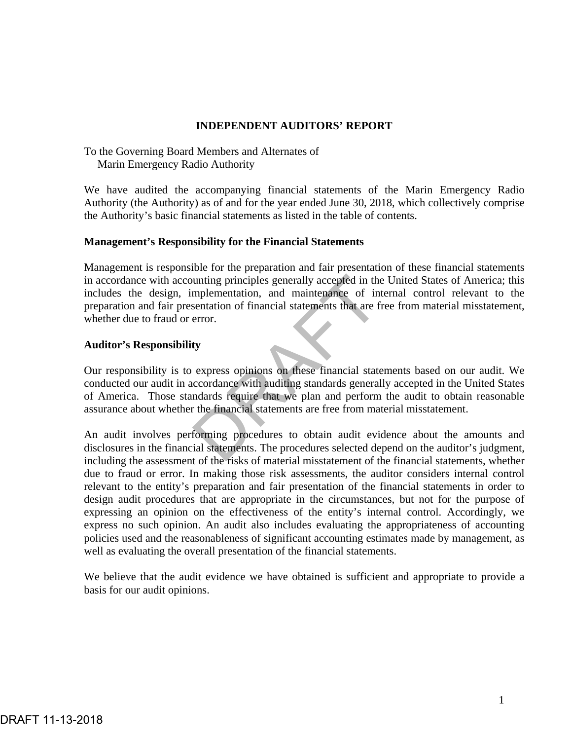# **INDEPENDENT AUDITORS' REPORT**

# To the Governing Board Members and Alternates of Marin Emergency Radio Authority

We have audited the accompanying financial statements of the Marin Emergency Radio Authority (the Authority) as of and for the year ended June 30, 2018, which collectively comprise the Authority's basic financial statements as listed in the table of contents.

#### **Management's Responsibility for the Financial Statements**

Management is responsible for the preparation and fair presentation of these financial statements in accordance with accounting principles generally accepted in the United States of America; this includes the design, implementation, and maintenance of internal control relevant to the preparation and fair presentation of financial statements that are free from material misstatement, whether due to fraud or error. unting principles generally accepted in the U<br>mplementation, and maintenance of inter-<br>sentation of financial statements that are free<br>error.<br>**ty**<br>express opinions on these financial statem<br>ccordance with auditing standard

#### **Auditor's Responsibility**

Our responsibility is to express opinions on these financial statements based on our audit. We conducted our audit in accordance with auditing standards generally accepted in the United States of America. Those standards require that we plan and perform the audit to obtain reasonable assurance about whether the financial statements are free from material misstatement.

An audit involves performing procedures to obtain audit evidence about the amounts and disclosures in the financial statements. The procedures selected depend on the auditor's judgment, including the assessment of the risks of material misstatement of the financial statements, whether due to fraud or error. In making those risk assessments, the auditor considers internal control relevant to the entity's preparation and fair presentation of the financial statements in order to design audit procedures that are appropriate in the circumstances, but not for the purpose of expressing an opinion on the effectiveness of the entity's internal control. Accordingly, we express no such opinion. An audit also includes evaluating the appropriateness of accounting policies used and the reasonableness of significant accounting estimates made by management, as well as evaluating the overall presentation of the financial statements.

We believe that the audit evidence we have obtained is sufficient and appropriate to provide a basis for our audit opinions.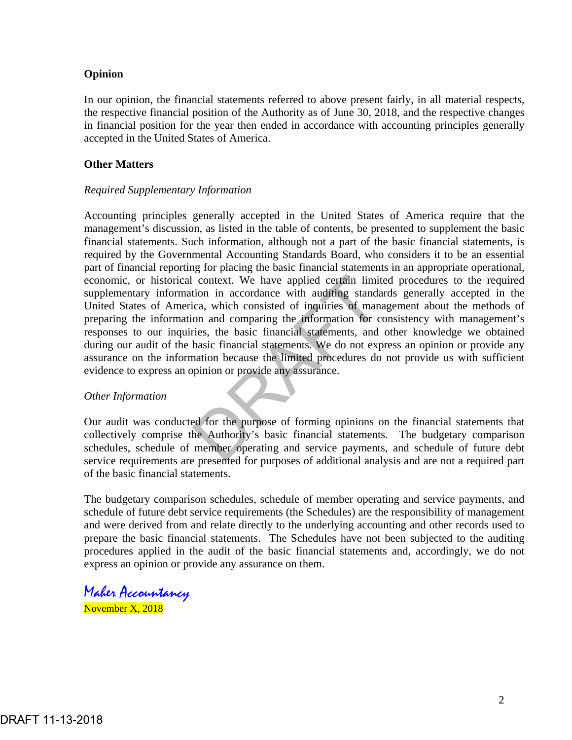# **Opinion**

In our opinion, the financial statements referred to above present fairly, in all material respects, the respective financial position of the Authority as of June 30, 2018, and the respective changes in financial position for the year then ended in accordance with accounting principles generally accepted in the United States of America.

# **Other Matters**

#### *Required Supplementary Information*

Accounting principles generally accepted in the United States of America require that the management's discussion, as listed in the table of contents, be presented to supplement the basic financial statements. Such information, although not a part of the basic financial statements, is required by the Governmental Accounting Standards Board, who considers it to be an essential part of financial reporting for placing the basic financial statements in an appropriate operational, economic, or historical context. We have applied certain limited procedures to the required supplementary information in accordance with auditing standards generally accepted in the United States of America, which consisted of inquiries of management about the methods of preparing the information and comparing the information for consistency with management's responses to our inquiries, the basic financial statements, and other knowledge we obtained during our audit of the basic financial statements. We do not express an opinion or provide any assurance on the information because the limited procedures do not provide us with sufficient evidence to express an opinion or provide any assurance. context. We have applied certain limited<br>tion in accordance with auditing standard<br>ca, which consisted of inquiries of managon<br>on and comparing the information for con<br>ries, the basic financial statements, and ot<br>basic fin

#### *Other Information*

Our audit was conducted for the purpose of forming opinions on the financial statements that collectively comprise the Authority's basic financial statements. The budgetary comparison schedules, schedule of member operating and service payments, and schedule of future debt service requirements are presented for purposes of additional analysis and are not a required part of the basic financial statements.

The budgetary comparison schedules, schedule of member operating and service payments, and schedule of future debt service requirements (the Schedules) are the responsibility of management and were derived from and relate directly to the underlying accounting and other records used to prepare the basic financial statements. The Schedules have not been subjected to the auditing procedures applied in the audit of the basic financial statements and, accordingly, we do not express an opinion or provide any assurance on them.

Maher Accountancy November X, 2018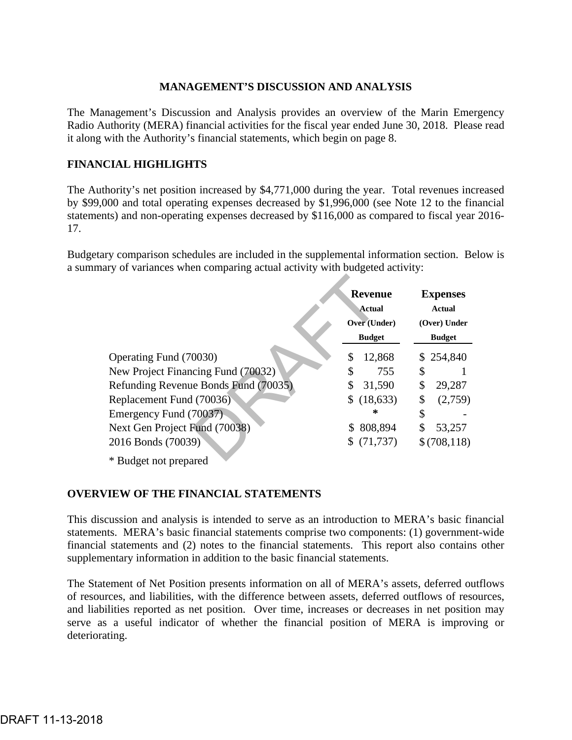# **MANAGEMENT'S DISCUSSION AND ANALYSIS**

The Management's Discussion and Analysis provides an overview of the Marin Emergency Radio Authority (MERA) financial activities for the fiscal year ended June 30, 2018. Please read it along with the Authority's financial statements, which begin on page 8.

# **FINANCIAL HIGHLIGHTS**

The Authority's net position increased by \$4,771,000 during the year. Total revenues increased by \$99,000 and total operating expenses decreased by \$1,996,000 (see Note 12 to the financial statements) and non-operating expenses decreased by \$116,000 as compared to fiscal year 2016- 17.

Budgetary comparison schedules are included in the supplemental information section. Below is a summary of variances when comparing actual activity with budgeted activity:

|                                      | <b>Revenue</b><br>Actual<br>Over (Under)<br><b>Budget</b> | <b>Expenses</b><br><b>Actual</b><br>(Over) Under<br><b>Budget</b> |  |
|--------------------------------------|-----------------------------------------------------------|-------------------------------------------------------------------|--|
| Operating Fund (70030)               | \$<br>12,868                                              | \$254,840                                                         |  |
| New Project Financing Fund (70032)   | \$<br>755                                                 | \$                                                                |  |
| Refunding Revenue Bonds Fund (70035) | \$<br>31,590                                              | \$<br>29,287                                                      |  |
| Replacement Fund (70036)             | \$<br>(18, 633)                                           | \$<br>(2,759)                                                     |  |
| Emergency Fund (70037)               | ∗                                                         | \$                                                                |  |
| Next Gen Project Fund (70038)        | 808,894<br>\$.                                            | \$<br>53,257                                                      |  |
| 2016 Bonds (70039)                   | \$(71,737)                                                | \$(708,118)                                                       |  |
| * Budget not prepared                |                                                           |                                                                   |  |

# **OVERVIEW OF THE FINANCIAL STATEMENTS**

This discussion and analysis is intended to serve as an introduction to MERA's basic financial statements. MERA's basic financial statements comprise two components: (1) government-wide financial statements and (2) notes to the financial statements. This report also contains other supplementary information in addition to the basic financial statements.

The Statement of Net Position presents information on all of MERA's assets, deferred outflows of resources, and liabilities, with the difference between assets, deferred outflows of resources, and liabilities reported as net position. Over time, increases or decreases in net position may serve as a useful indicator of whether the financial position of MERA is improving or deteriorating.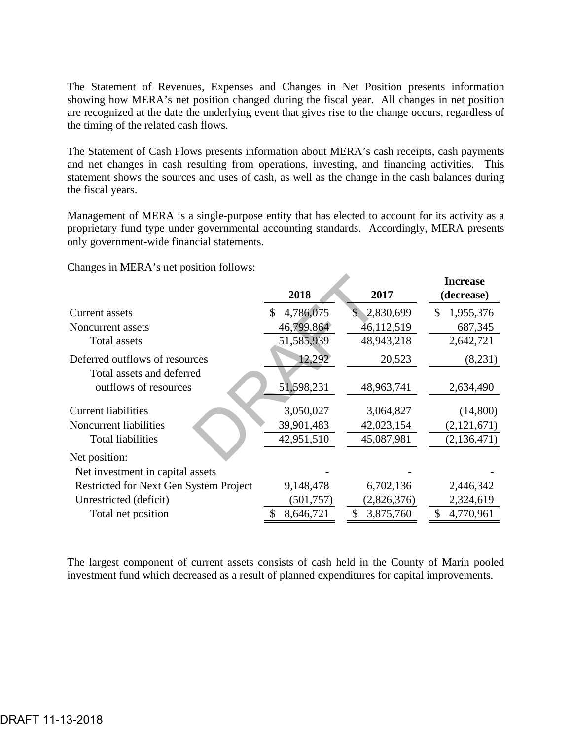The Statement of Revenues, Expenses and Changes in Net Position presents information showing how MERA's net position changed during the fiscal year. All changes in net position are many are recognized at the date the underlying event that gives rise to the change occurs, regardless of the timing of the related cash flows.

The Statement of Cash Flows presents information about MERA's cash receipts, cash payments and net changes in cash resulting from operations, investing, and financing activities. This statement shows the sources and uses of cash, as well as the change in the cash balances during the fiscal years.

Management of MERA is a single-purpose entity that has elected to account for its activity as a proprietary fund type under governmental accounting standards. Accordingly, MERA presents only government-wide financial statements.

Changes in MERA's net position follows:

|                                                    | 2018            | 2017        | <b>Increase</b><br>(decrease) |
|----------------------------------------------------|-----------------|-------------|-------------------------------|
| Current assets                                     | 4,786,075<br>\$ | \$2,830,699 | 1,955,376<br>\$               |
| Noncurrent assets                                  | 46,799,864      | 46,112,519  | 687,345                       |
| <b>Total assets</b>                                | 51,585,939      | 48,943,218  | 2,642,721                     |
| Deferred outflows of resources                     | 12,292          | 20,523      | (8,231)                       |
| Total assets and deferred<br>outflows of resources | 51,598,231      | 48,963,741  | 2,634,490                     |
| <b>Current liabilities</b>                         | 3,050,027       | 3,064,827   | (14,800)                      |
| Noncurrent liabilities                             | 39,901,483      | 42,023,154  | (2, 121, 671)                 |
| <b>Total liabilities</b>                           | 42,951,510      | 45,087,981  | (2, 136, 471)                 |
| Net position:                                      |                 |             |                               |
| Net investment in capital assets                   |                 |             |                               |
| <b>Restricted for Next Gen System Project</b>      | 9,148,478       | 6,702,136   | 2,446,342                     |
| Unrestricted (deficit)                             | (501, 757)      | (2,826,376) | 2,324,619                     |
| Total net position                                 | 8,646,721       | 3,875,760   | 4,770,961<br>\$               |

The largest component of current assets consists of cash held in the County of Marin pooled investment fund which decreased as a result of planned expenditures for capital improvements.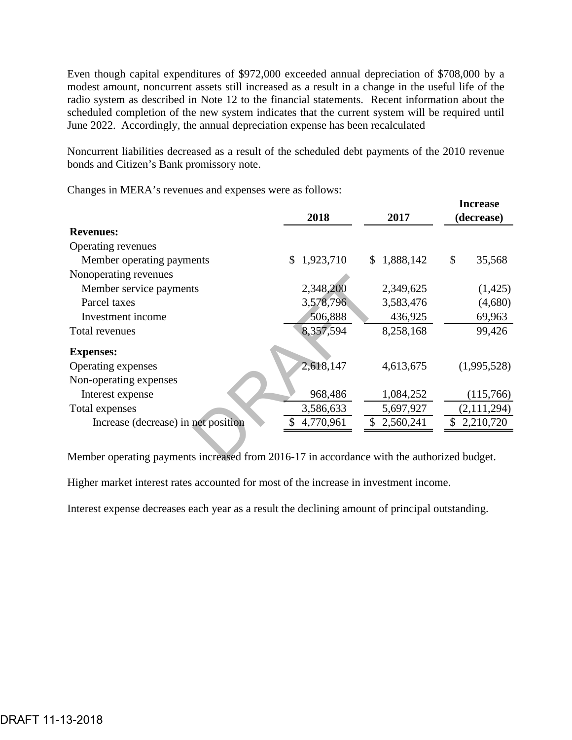Even though capital expenditures of \$972,000 exceeded annual depreciation of \$708,000 by a modest amount, noncurrent assets still increased as a result in a change in the useful life of the radio system as described in Note 12 to the financial statements. Recent information about the scheduled completion of the new system indicates that the current system will be required until June 2022. Accordingly, the annual depreciation expense has been recalculated

Noncurrent liabilities decreased as a result of the scheduled debt payments of the 2010 revenue bonds and Citizen's Bank promissory note.

Changes in MERA's revenues and expenses were as follows:

|                                                                                            |                           |                 | <b>Increase</b> |
|--------------------------------------------------------------------------------------------|---------------------------|-----------------|-----------------|
|                                                                                            | 2018                      | 2017            | (decrease)      |
| <b>Revenues:</b>                                                                           |                           |                 |                 |
| Operating revenues                                                                         |                           |                 |                 |
| Member operating payments                                                                  | 1,923,710<br>$\mathbb{S}$ | 1,888,142<br>\$ | \$<br>35,568    |
| Nonoperating revenues                                                                      |                           |                 |                 |
| Member service payments                                                                    | 2,348,200                 | 2,349,625       | (1, 425)        |
| Parcel taxes                                                                               | 3,578,796                 | 3,583,476       | (4,680)         |
| Investment income                                                                          | 506,888                   | 436,925         | 69,963          |
| Total revenues                                                                             | 8,357,594                 | 8,258,168       | 99,426          |
| <b>Expenses:</b>                                                                           |                           |                 |                 |
| Operating expenses                                                                         | 2,618,147                 | 4,613,675       | (1,995,528)     |
| Non-operating expenses                                                                     |                           |                 |                 |
| Interest expense                                                                           | 968,486                   | 1,084,252       | (115,766)       |
| Total expenses                                                                             | 3,586,633                 | 5,697,927       | (2, 111, 294)   |
| Increase (decrease) in net position                                                        | 4,770,961                 | 2,560,241       | \$2,210,720     |
|                                                                                            |                           |                 |                 |
| Member operating payments increased from 2016-17 in accordance with the authorized budget. |                           |                 |                 |

Member operating payments increased from 2016-17 in accordance with the authorized budget.

Higher market interest rates accounted for most of the increase in investment income.

Interest expense decreases each year as a result the declining amount of principal outstanding.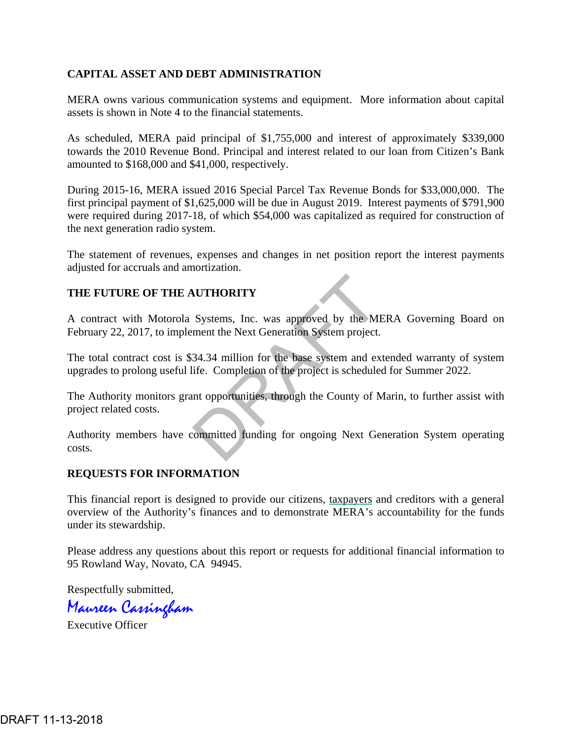# **CAPITAL ASSET AND DEBT ADMINISTRATION**

MERA owns various communication systems and equipment. More information about capital assets is shown in Note 4 to the financial statements.

As scheduled, MERA paid principal of \$1,755,000 and interest of approximately \$339,000 towards the 2010 Revenue Bond. Principal and interest related to our loan from Citizen's Bank amounted to \$168,000 and \$41,000, respectively.

During 2015-16, MERA issued 2016 Special Parcel Tax Revenue Bonds for \$33,000,000. The first principal payment of \$1,625,000 will be due in August 2019. Interest payments of \$791,900 were required during 2017-18, of which \$54,000 was capitalized as required for construction of the next generation radio system.

The statement of revenues, expenses and changes in net position report the interest payments adjusted for accruals and amortization.

# **THE FUTURE OF THE AUTHORITY**

A contract with Motorola Systems, Inc. was approved by the MERA Governing Board on February 22, 2017, to implement the Next Generation System project. Systems, Inc. was approved by the MER<br>ment the Next Generation System project.<br>34.34 million for the base system and exter<br>ife. Completion of the project is scheduled f<br>nt opportunities, through the County of Mar<br>committed

The total contract cost is \$34.34 million for the base system and extended warranty of system upgrades to prolong useful life. Completion of the project is scheduled for Summer 2022.

The Authority monitors grant opportunities, through the County of Marin, to further assist with project related costs.

Authority members have committed funding for ongoing Next Generation System operating costs.

# **REQUESTS FOR INFORMATION**

This financial report is designed to provide our citizens, taxpayers and creditors with a general overview of the Authority's finances and to demonstrate MERA's accountability for the funds under its stewardship.

Please address any questions about this report or requests for additional financial information to 95 Rowland Way, Novato, CA 94945.

Respectfully submitted,

Maureen Cassingham

Executive Officer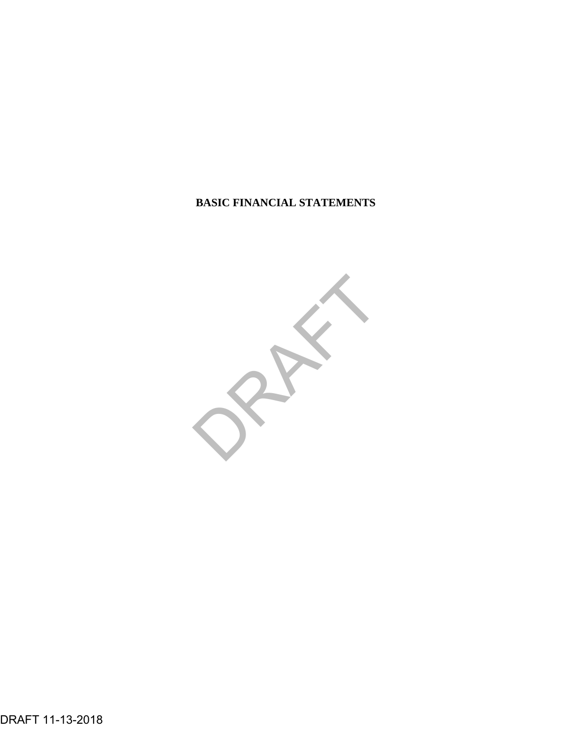# **BASIC FINANCIAL STATEMENTS**

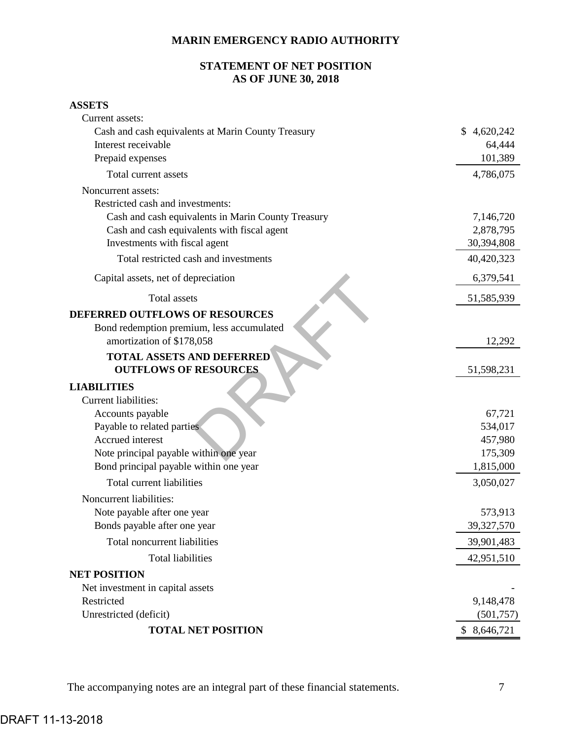# **STATEMENT OF NET POSITION AS OF JUNE 30, 2018**

# **ASSETS**

| Current assets:                                    |              |
|----------------------------------------------------|--------------|
| Cash and cash equivalents at Marin County Treasury | \$4,620,242  |
| Interest receivable                                | 64,444       |
| Prepaid expenses                                   | 101,389      |
| Total current assets                               | 4,786,075    |
| Noncurrent assets:                                 |              |
| Restricted cash and investments:                   |              |
| Cash and cash equivalents in Marin County Treasury | 7,146,720    |
| Cash and cash equivalents with fiscal agent        | 2,878,795    |
| Investments with fiscal agent                      | 30,394,808   |
| Total restricted cash and investments              | 40,420,323   |
| Capital assets, net of depreciation                | 6,379,541    |
| <b>Total</b> assets                                | 51,585,939   |
| <b>DEFERRED OUTFLOWS OF RESOURCES</b>              |              |
| Bond redemption premium, less accumulated          |              |
| amortization of \$178,058                          | 12,292       |
| <b>TOTAL ASSETS AND DEFERRED</b>                   |              |
| <b>OUTFLOWS OF RESOURCES</b>                       | 51,598,231   |
| <b>LIABILITIES</b>                                 |              |
| Current liabilities:                               |              |
| Accounts payable                                   | 67,721       |
| Payable to related parties                         | 534,017      |
| Accrued interest                                   | 457,980      |
| Note principal payable within one year             | 175,309      |
| Bond principal payable within one year             | 1,815,000    |
| Total current liabilities                          | 3,050,027    |
| Noncurrent liabilities:                            |              |
| Note payable after one year                        | 573,913      |
| Bonds payable after one year                       | 39,327,570   |
| Total noncurrent liabilities                       | 39,901,483   |
| <b>Total liabilities</b>                           | 42,951,510   |
| <b>NET POSITION</b>                                |              |
| Net investment in capital assets                   |              |
| Restricted                                         | 9,148,478    |
| Unrestricted (deficit)                             | (501, 757)   |
| <b>TOTAL NET POSITION</b>                          | \$ 8,646,721 |

The accompanying notes are an integral part of these financial statements.  $\frac{7}{4}$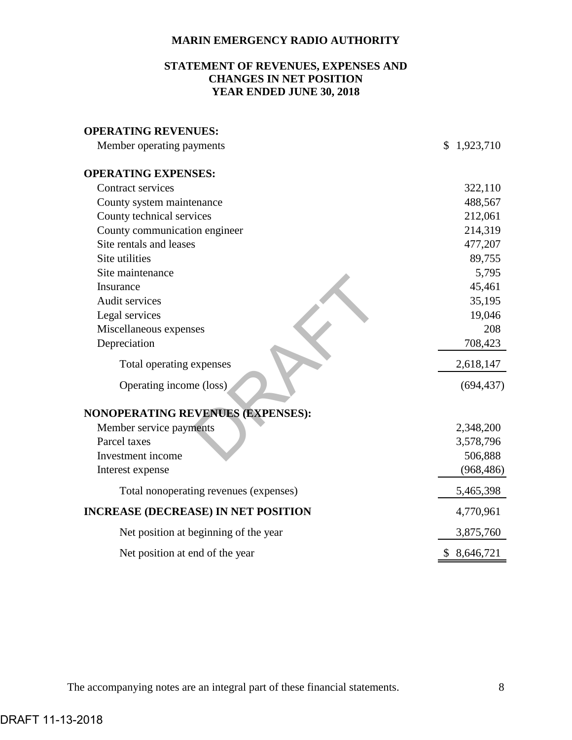# **STATEMENT OF REVENUES, EXPENSES AND CHANGES IN NET POSITION YEAR ENDED JUNE 30, 2018**

| <b>OPERATING REVENUES:</b>                 |                             |
|--------------------------------------------|-----------------------------|
| Member operating payments                  | 1,923,710<br>$\mathbb{S}^-$ |
| <b>OPERATING EXPENSES:</b>                 |                             |
| Contract services                          | 322,110                     |
| County system maintenance                  | 488,567                     |
| County technical services                  | 212,061                     |
| County communication engineer              | 214,319                     |
| Site rentals and leases                    | 477,207                     |
| Site utilities                             | 89,755                      |
| Site maintenance                           | 5,795                       |
| Insurance                                  | 45,461                      |
| <b>Audit services</b>                      | 35,195                      |
| Legal services                             | 19,046                      |
| Miscellaneous expenses                     | 208                         |
| Depreciation                               | 708,423                     |
| Total operating expenses                   | 2,618,147                   |
| Operating income (loss)                    | (694, 437)                  |
| <b>NONOPERATING REVENUES (EXPENSES):</b>   |                             |
| Member service payments                    | 2,348,200                   |
| Parcel taxes                               | 3,578,796                   |
| Investment income                          | 506,888                     |
| Interest expense                           | (968, 486)                  |
| Total nonoperating revenues (expenses)     | 5,465,398                   |
| <b>INCREASE (DECREASE) IN NET POSITION</b> | 4,770,961                   |
| Net position at beginning of the year      | 3,875,760                   |
| Net position at end of the year            | \$8,646,721                 |

The accompanying notes are an integral part of these financial statements. 8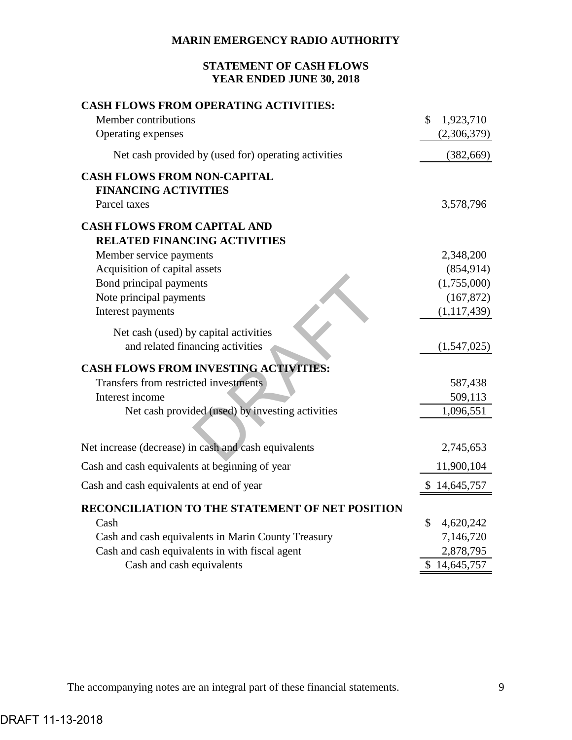# **STATEMENT OF CASH FLOWS YEAR ENDED JUNE 30, 2018**

| <b>CASH FLOWS FROM OPERATING ACTIVITIES:</b>                              |                           |
|---------------------------------------------------------------------------|---------------------------|
| Member contributions                                                      | 1,923,710<br>$\mathbb{S}$ |
| Operating expenses                                                        | (2,306,379)               |
| Net cash provided by (used for) operating activities                      | (382, 669)                |
| <b>CASH FLOWS FROM NON-CAPITAL</b><br><b>FINANCING ACTIVITIES</b>         |                           |
| Parcel taxes                                                              | 3,578,796                 |
| <b>CASH FLOWS FROM CAPITAL AND</b><br><b>RELATED FINANCING ACTIVITIES</b> |                           |
| Member service payments                                                   | 2,348,200                 |
| Acquisition of capital assets                                             | (854, 914)                |
| Bond principal payments                                                   | (1,755,000)               |
| Note principal payments                                                   | (167, 872)                |
| Interest payments                                                         | (1, 117, 439)             |
| Net cash (used) by capital activities                                     |                           |
| and related financing activities                                          | (1,547,025)               |
| <b>CASH FLOWS FROM INVESTING ACTIVITIES:</b>                              |                           |
| Transfers from restricted investments                                     | 587,438                   |
| Interest income                                                           | 509,113                   |
| Net cash provided (used) by investing activities                          | 1,096,551                 |
|                                                                           |                           |
| Net increase (decrease) in cash and cash equivalents                      | 2,745,653                 |
| Cash and cash equivalents at beginning of year                            | 11,900,104                |
| Cash and cash equivalents at end of year                                  | \$14,645,757              |
| <b>RECONCILIATION TO THE STATEMENT OF NET POSITION</b>                    |                           |
| Cash                                                                      | 4,620,242<br>\$           |
| Cash and cash equivalents in Marin County Treasury                        | 7,146,720                 |
| Cash and cash equivalents in with fiscal agent                            | 2,878,795                 |
| Cash and cash equivalents                                                 | \$14,645,757              |

The accompanying notes are an integral part of these financial statements. 9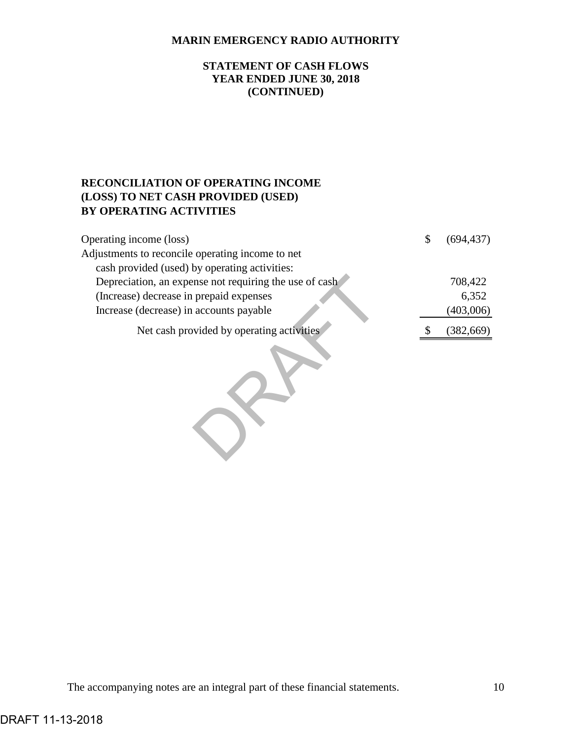### **STATEMENT OF CASH FLOWS YEAR ENDED JUNE 30, 2018 (CONTINUED)**

# **RECONCILIATION OF OPERATING INCOME (LOSS) TO NET CASH PROVIDED (USED) BY OPERATING ACTIVITIES**

| Operating income (loss)                                | (694, 437) |
|--------------------------------------------------------|------------|
| Adjustments to reconcile operating income to net       |            |
| cash provided (used) by operating activities:          |            |
| Depreciation, an expense not requiring the use of cash | 708,422    |
| (Increase) decrease in prepaid expenses                | 6,352      |
| Increase (decrease) in accounts payable                | (403,006)  |
| Net cash provided by operating activities              | (382, 669) |

DRAFT

The accompanying notes are an integral part of these financial statements. 10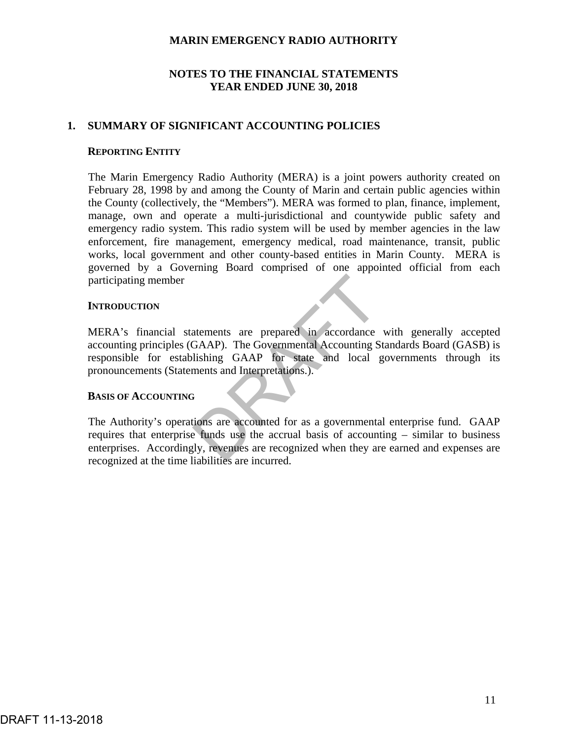#### **NOTES TO THE FINANCIAL STATEMENTS YEAR ENDED JUNE 30, 2018**

#### **1. SUMMARY OF SIGNIFICANT ACCOUNTING POLICIES**

#### **REPORTING ENTITY**

 The Marin Emergency Radio Authority (MERA) is a joint powers authority created on February 28, 1998 by and among the County of Marin and certain public agencies within the County (collectively, the "Members"). MERA was formed to plan, finance, implement, manage, own and operate a multi-jurisdictional and countywide public safety and emergency radio system. This radio system will be used by member agencies in the law enforcement, fire management, emergency medical, road maintenance, transit, public works, local government and other county-based entities in Marin County. MERA is governed by a Governing Board comprised of one appointed official from each participating member

#### **INTRODUCTION**

MERA's financial statements are prepared in accordance with generally accepted accounting principles (GAAP). The Governmental Accounting Standards Board (GASB) is responsible for establishing GAAP for state and local governments through its pronouncements (Statements and Interpretations.). Example 18 at the procedure of the SAAP). The Governmental Accounting Star<br>
Ishing GAAP for state and local governments and Interpretations.).<br>
Sections are accounted for as a governmental events are accounted for as a gov

# **BASIS OF ACCOUNTING**

The Authority's operations are accounted for as a governmental enterprise fund. GAAP requires that enterprise funds use the accrual basis of accounting – similar to business enterprises. Accordingly, revenues are recognized when they are earned and expenses are recognized at the time liabilities are incurred.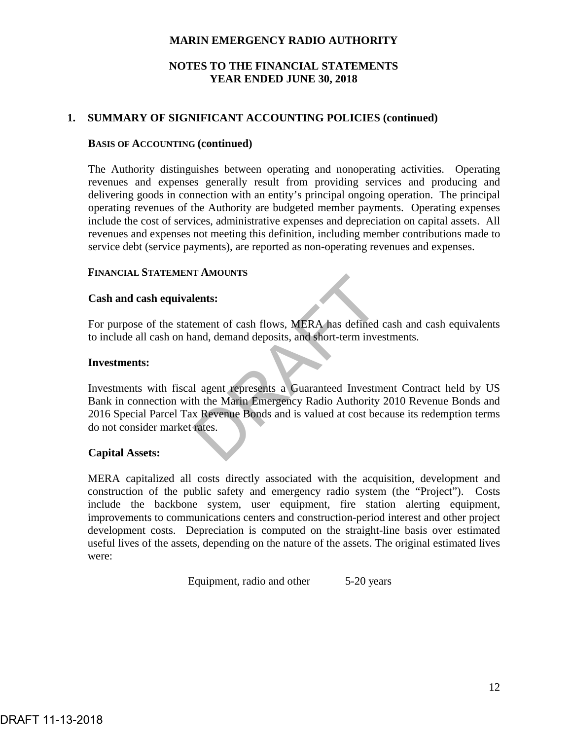# **NOTES TO THE FINANCIAL STATEMENTS YEAR ENDED JUNE 30, 2018**

# **1. SUMMARY OF SIGNIFICANT ACCOUNTING POLICIES (continued)**

#### **BASIS OF ACCOUNTING (continued)**

The Authority distinguishes between operating and nonoperating activities. Operating revenues and expenses generally result from providing services and producing and delivering goods in connection with an entity's principal ongoing operation. The principal operating revenues of the Authority are budgeted member payments. Operating expenses include the cost of services, administrative expenses and depreciation on capital assets. All revenues and expenses not meeting this definition, including member contributions made to service debt (service payments), are reported as non-operating revenues and expenses.

#### **FINANCIAL STATEMENT AMOUNTS**

#### **Cash and cash equivalents:**

For purpose of the statement of cash flows, MERA has defined cash and cash equivalents to include all cash on hand, demand deposits, and short-term investments.

#### **Investments:**

Investments with fiscal agent represents a Guaranteed Investment Contract held by US Bank in connection with the Marin Emergency Radio Authority 2010 Revenue Bonds and 2016 Special Parcel Tax Revenue Bonds and is valued at cost because its redemption terms do not consider market rates. FAMOUNTS<br>
Lents:<br>
ement of cash flows, MERA has defined ca<br>
and, demand deposits, and short-term investr<br>
1 agent represents a Guaranteed Investmen<br>
th the Marin Emergency Radio Authority 20<br>
x Revenue Bonds and is valued

#### **Capital Assets:**

MERA capitalized all costs directly associated with the acquisition, development and construction of the public safety and emergency radio system (the "Project"). Costs include the backbone system, user equipment, fire station alerting equipment, improvements to communications centers and construction-period interest and other project development costs. Depreciation is computed on the straight-line basis over estimated useful lives of the assets, depending on the nature of the assets. The original estimated lives were:

Equipment, radio and other 5-20 years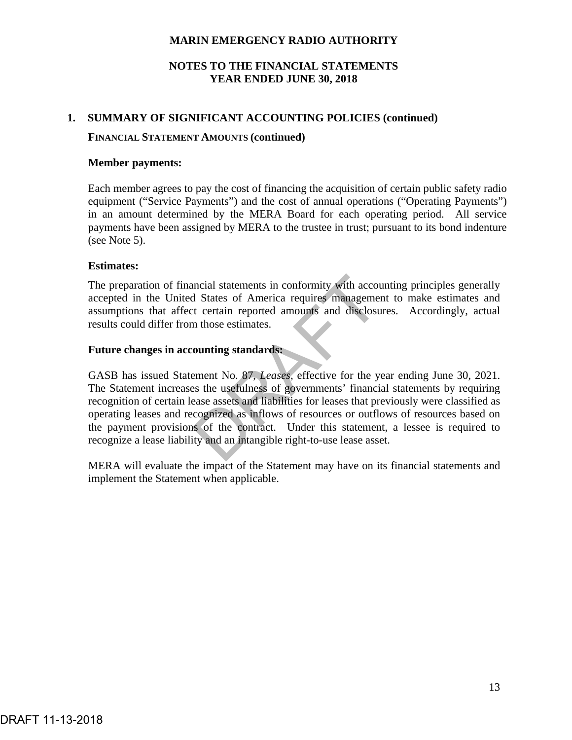# **NOTES TO THE FINANCIAL STATEMENTS YEAR ENDED JUNE 30, 2018**

# **1. SUMMARY OF SIGNIFICANT ACCOUNTING POLICIES (continued)**

#### **FINANCIAL STATEMENT AMOUNTS (continued)**

#### **Member payments:**

Each member agrees to pay the cost of financing the acquisition of certain public safety radio equipment ("Service Payments") and the cost of annual operations ("Operating Payments") in an amount determined by the MERA Board for each operating period. All service payments have been assigned by MERA to the trustee in trust; pursuant to its bond indenture (see Note 5).

#### **Estimates:**

The preparation of financial statements in conformity with accounting principles generally accepted in the United States of America requires management to make estimates and assumptions that affect certain reported amounts and disclosures. Accordingly, actual results could differ from those estimates.

#### **Future changes in accounting standards:**

GASB has issued Statement No. 87, *Leases*, effective for the year ending June 30, 2021. The Statement increases the usefulness of governments' financial statements by requiring recognition of certain lease assets and liabilities for leases that previously were classified as operating leases and recognized as inflows of resources or outflows of resources based on the payment provisions of the contract. Under this statement, a lessee is required to recognize a lease liability and an intangible right-to-use lease asset. notial statements in conformity with account<br>
I States of America requires management<br>
tt certain reported amounts and disclosures<br>
m those estimates.<br> **ounting standards:**<br>
ement No. 87, *Leases*, effective for the year<br>

MERA will evaluate the impact of the Statement may have on its financial statements and implement the Statement when applicable.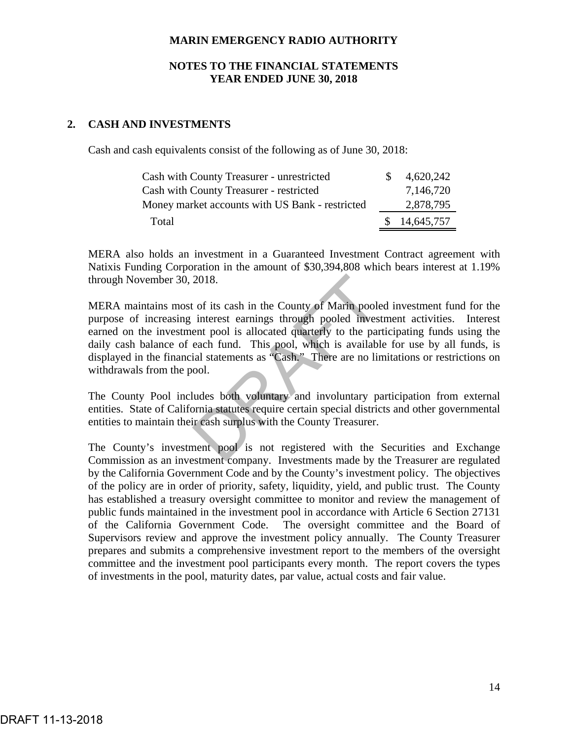#### **NOTES TO THE FINANCIAL STATEMENTS YEAR ENDED JUNE 30, 2018**

## **2. CASH AND INVESTMENTS**

Cash and cash equivalents consist of the following as of June 30, 2018:

| Cash with County Treasurer - unrestricted       | <sup>S</sup> | 4,620,242    |
|-------------------------------------------------|--------------|--------------|
| Cash with County Treasurer - restricted         |              | 7,146,720    |
| Money market accounts with US Bank - restricted |              | 2,878,795    |
| Total                                           |              | \$14,645,757 |

MERA also holds an investment in a Guaranteed Investment Contract agreement with Natixis Funding Corporation in the amount of \$30,394,808 which bears interest at 1.19% through November 30, 2018.

MERA maintains most of its cash in the County of Marin pooled investment fund for the purpose of increasing interest earnings through pooled investment activities. Interest earned on the investment pool is allocated quarterly to the participating funds using the daily cash balance of each fund. This pool, which is available for use by all funds, is displayed in the financial statements as "Cash." There are no limitations or restrictions on withdrawals from the pool. 2018.<br>
2018.<br>
2018.<br>
2018.<br>
2018. Contract of the County of Marin pooled<br>
2018. Interest earnings through pooled investment<br>
2018. There are no limit<br>
2018. There are no limit<br>
2018. There are no limit<br>
2019. There are no

The County Pool includes both voluntary and involuntary participation from external entities. State of California statutes require certain special districts and other governmental entities to maintain their cash surplus with the County Treasurer.

The County's investment pool is not registered with the Securities and Exchange Commission as an investment company. Investments made by the Treasurer are regulated by the California Government Code and by the County's investment policy. The objectives of the policy are in order of priority, safety, liquidity, yield, and public trust. The County has established a treasury oversight committee to monitor and review the management of public funds maintained in the investment pool in accordance with Article 6 Section 27131 of the California Government Code. The oversight committee and the Board of Supervisors review and approve the investment policy annually. The County Treasurer prepares and submits a comprehensive investment report to the members of the oversight committee and the investment pool participants every month. The report covers the types of investments in the pool, maturity dates, par value, actual costs and fair value.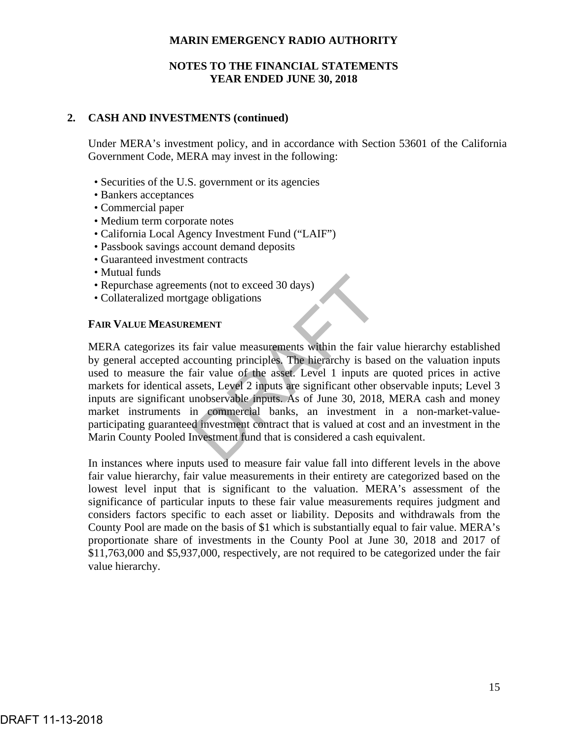#### **NOTES TO THE FINANCIAL STATEMENTS YEAR ENDED JUNE 30, 2018**

#### **2. CASH AND INVESTMENTS (continued)**

Under MERA's investment policy, and in accordance with Section 53601 of the California Government Code, MERA may invest in the following:

- Securities of the U.S. government or its agencies
- Bankers acceptances
- Commercial paper
- Medium term corporate notes
- California Local Agency Investment Fund ("LAIF")
- Passbook savings account demand deposits
- Guaranteed investment contracts
- Mutual funds
- Repurchase agreements (not to exceed 30 days)
- Collateralized mortgage obligations

#### **FAIR VALUE MEASUREMENT**

MERA categorizes its fair value measurements within the fair value hierarchy established by general accepted accounting principles. The hierarchy is based on the valuation inputs used to measure the fair value of the asset. Level 1 inputs are quoted prices in active markets for identical assets, Level 2 inputs are significant other observable inputs; Level 3 inputs are significant unobservable inputs. As of June 30, 2018, MERA cash and money market instruments in commercial banks, an investment in a non-market-valueparticipating guaranteed investment contract that is valued at cost and an investment in the Marin County Pooled Investment fund that is considered a cash equivalent. The same obligations<br>
EMENT<br>
fair value measurements within the fair value<br>
counting principles. The hierarchy is based<br>
air value of the asset. Level 1 inputs are<br>
ssets, Level 2 inputs are significant other obs<br>
unobserv

In instances where inputs used to measure fair value fall into different levels in the above fair value hierarchy, fair value measurements in their entirety are categorized based on the lowest level input that is significant to the valuation. MERA's assessment of the significance of particular inputs to these fair value measurements requires judgment and considers factors specific to each asset or liability. Deposits and withdrawals from the County Pool are made on the basis of \$1 which is substantially equal to fair value. MERA's proportionate share of investments in the County Pool at June 30, 2018 and 2017 of \$11,763,000 and \$5,937,000, respectively, are not required to be categorized under the fair value hierarchy.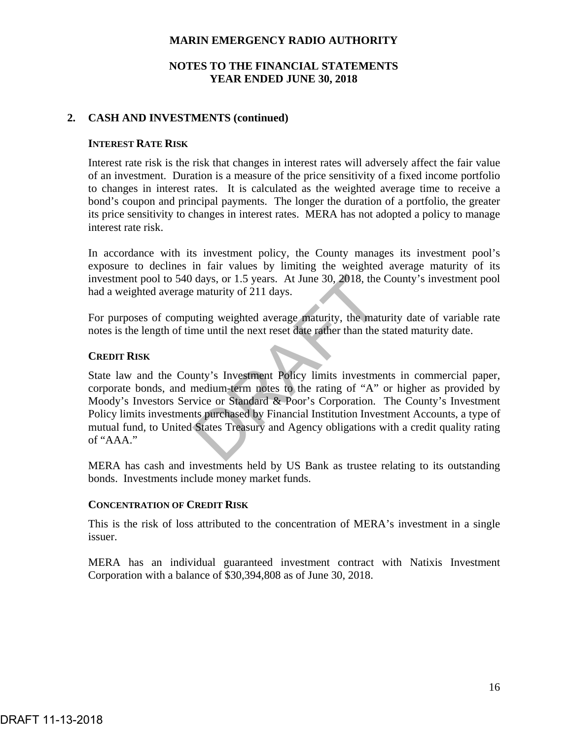#### **NOTES TO THE FINANCIAL STATEMENTS YEAR ENDED JUNE 30, 2018**

#### **2. CASH AND INVESTMENTS (continued)**

#### **INTEREST RATE RISK**

Interest rate risk is the risk that changes in interest rates will adversely affect the fair value of an investment. Duration is a measure of the price sensitivity of a fixed income portfolio to changes in interest rates. It is calculated as the weighted average time to receive a bond's coupon and principal payments. The longer the duration of a portfolio, the greater its price sensitivity to changes in interest rates. MERA has not adopted a policy to manage interest rate risk.

In accordance with its investment policy, the County manages its investment pool's exposure to declines in fair values by limiting the weighted average maturity of its investment pool to 540 days, or 1.5 years. At June 30, 2018, the County's investment pool had a weighted average maturity of 211 days.

For purposes of computing weighted average maturity, the maturity date of variable rate notes is the length of time until the next reset date rather than the stated maturity date.

#### **CREDIT RISK**

State law and the County's Investment Policy limits investments in commercial paper, corporate bonds, and medium-term notes to the rating of "A" or higher as provided by Moody's Investors Service or Standard & Poor's Corporation. The County's Investment Policy limits investments purchased by Financial Institution Investment Accounts, a type of mutual fund, to United States Treasury and Agency obligations with a credit quality rating of "AAA." days, or 1.5 years. At June 30, 2018, the Comaturity of 211 days.<br>
ting weighted average maturity, the maturi<br>
me until the next reset date rather than the sta<br>
unty's Investment Policy limits investments<br>
medium-term note

MERA has cash and investments held by US Bank as trustee relating to its outstanding bonds. Investments include money market funds.

#### **CONCENTRATION OF CREDIT RISK**

This is the risk of loss attributed to the concentration of MERA's investment in a single issuer.

MERA has an individual guaranteed investment contract with Natixis Investment Corporation with a balance of \$30,394,808 as of June 30, 2018.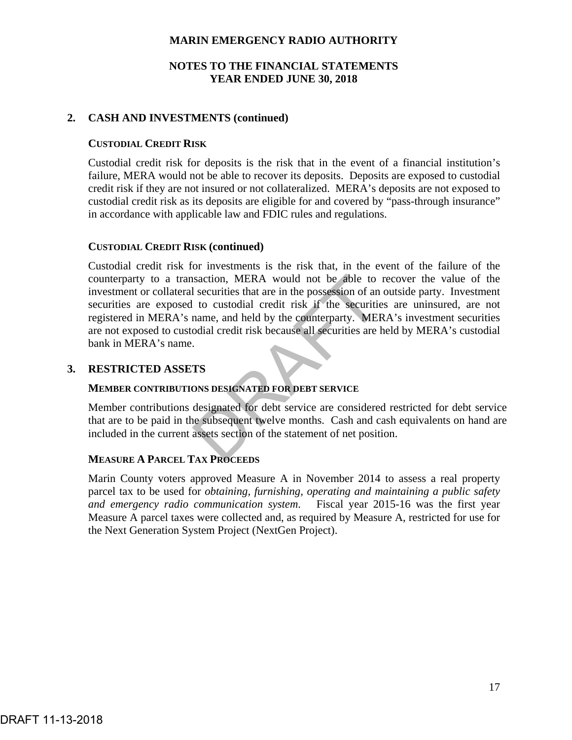#### **NOTES TO THE FINANCIAL STATEMENTS YEAR ENDED JUNE 30, 2018**

#### **2. CASH AND INVESTMENTS (continued)**

#### **CUSTODIAL CREDIT RISK**

Custodial credit risk for deposits is the risk that in the event of a financial institution's failure, MERA would not be able to recover its deposits. Deposits are exposed to custodial credit risk if they are not insured or not collateralized. MERA's deposits are not exposed to custodial credit risk as its deposits are eligible for and covered by "pass-through insurance" in accordance with applicable law and FDIC rules and regulations.

#### **CUSTODIAL CREDIT RISK (continued)**

Custodial credit risk for investments is the risk that, in the event of the failure of the counterparty to a transaction, MERA would not be able to recover the value of the investment or collateral securities that are in the possession of an outside party. Investment securities are exposed to custodial credit risk if the securities are uninsured, are not registered in MERA's name, and held by the counterparty. MERA's investment securities are not exposed to custodial credit risk because all securities are held by MERA's custodial bank in MERA's name. Saction, MERA would not be able to reaching<br>action, MERA would not be able to reaching<br>to custodial credit risk if the securities<br>name, and held by the counterparty. MERA<br>odial credit risk because all securities are hel<br>TS

#### **3. RESTRICTED ASSETS**

#### **MEMBER CONTRIBUTIONS DESIGNATED FOR DEBT SERVICE**

Member contributions designated for debt service are considered restricted for debt service that are to be paid in the subsequent twelve months. Cash and cash equivalents on hand are included in the current assets section of the statement of net position.

#### **MEASURE A PARCEL TAX PROCEEDS**

Marin County voters approved Measure A in November 2014 to assess a real property parcel tax to be used for *obtaining, furnishing, operating and maintaining a public safety and emergency radio communication system*. Fiscal year 2015-16 was the first year Measure A parcel taxes were collected and, as required by Measure A, restricted for use for the Next Generation System Project (NextGen Project).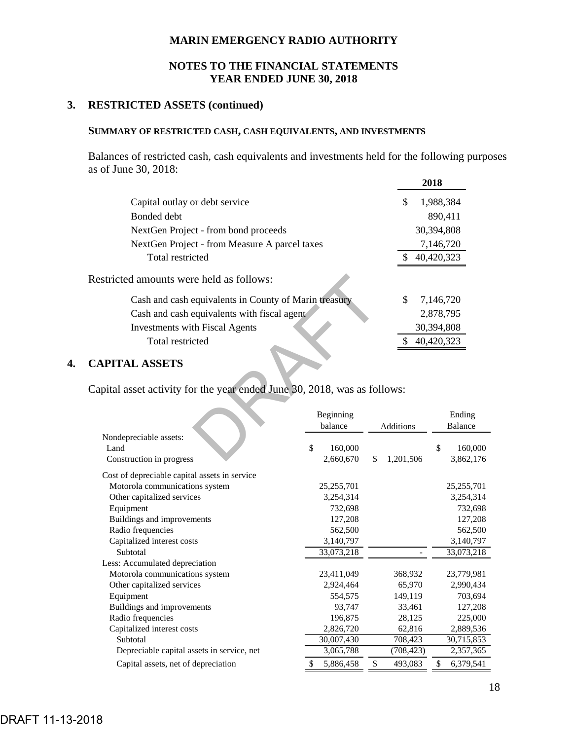#### **NOTES TO THE FINANCIAL STATEMENTS YEAR ENDED JUNE 30, 2018**

# **3. RESTRICTED ASSETS (continued)**

#### **SUMMARY OF RESTRICTED CASH, CASH EQUIVALENTS, AND INVESTMENTS**

Balances of restricted cash, cash equivalents and investments held for the following purposes as of June 30, 2018:

|                                                                          |               |                  | 2018       |
|--------------------------------------------------------------------------|---------------|------------------|------------|
| Capital outlay or debt service                                           |               | \$               | 1,988,384  |
| Bonded debt                                                              |               |                  | 890,411    |
| NextGen Project - from bond proceeds                                     |               |                  | 30,394,808 |
| NextGen Project - from Measure A parcel taxes                            |               |                  | 7,146,720  |
| Total restricted                                                         |               |                  | 40,420,323 |
| Restricted amounts were held as follows:                                 |               |                  |            |
| Cash and cash equivalents in County of Marin treasury                    |               | \$               | 7,146,720  |
| Cash and cash equivalents with fiscal agent                              |               |                  | 2,878,795  |
| <b>Investments with Fiscal Agents</b>                                    |               |                  | 30,394,808 |
| Total restricted                                                         |               |                  | 40,420,323 |
| <b>CAPITAL ASSETS</b>                                                    |               |                  |            |
| Capital asset activity for the year ended June 30, 2018, was as follows: |               |                  |            |
|                                                                          | Beginning     |                  | Endi       |
|                                                                          | balance       | <b>Additions</b> | Balan      |
| Nondepreciable assets:<br>Land                                           | \$<br>160,000 |                  | 16<br>S    |
| Construction in progress                                                 | 2.660.670     | \$1,201,506      | 3.86       |

# **4. CAPITAL ASSETS**

|                                               | Beginning<br>balance | Additions       | Ending<br><b>Balance</b> |
|-----------------------------------------------|----------------------|-----------------|--------------------------|
| Nondepreciable assets:                        |                      |                 |                          |
| Land                                          | \$<br>160,000        |                 | \$<br>160,000            |
| Construction in progress                      | 2,660,670            | \$<br>1,201,506 | 3,862,176                |
| Cost of depreciable capital assets in service |                      |                 |                          |
| Motorola communications system                | 25, 255, 701         |                 | 25, 255, 701             |
| Other capitalized services                    | 3,254,314            |                 | 3,254,314                |
| Equipment                                     | 732,698              |                 | 732,698                  |
| Buildings and improvements                    | 127,208              |                 | 127,208                  |
| Radio frequencies                             | 562,500              |                 | 562,500                  |
| Capitalized interest costs                    | 3,140,797            |                 | 3,140,797                |
| Subtotal                                      | 33,073,218           |                 | 33,073,218               |
| Less: Accumulated depreciation                |                      |                 |                          |
| Motorola communications system                | 23,411,049           | 368,932         | 23,779,981               |
| Other capitalized services                    | 2,924,464            | 65,970          | 2,990,434                |
| Equipment                                     | 554,575              | 149,119         | 703,694                  |
| Buildings and improvements                    | 93,747               | 33,461          | 127,208                  |
| Radio frequencies                             | 196,875              | 28,125          | 225,000                  |
| Capitalized interest costs                    | 2,826,720            | 62,816          | 2,889,536                |
| Subtotal                                      | 30,007,430           | 708,423         | 30,715,853               |
| Depreciable capital assets in service, net    | 3,065,788            | (708, 423)      | 2,357,365                |
| Capital assets, net of depreciation           | 5,886,458            | \$<br>493,083   | \$<br>6,379,541          |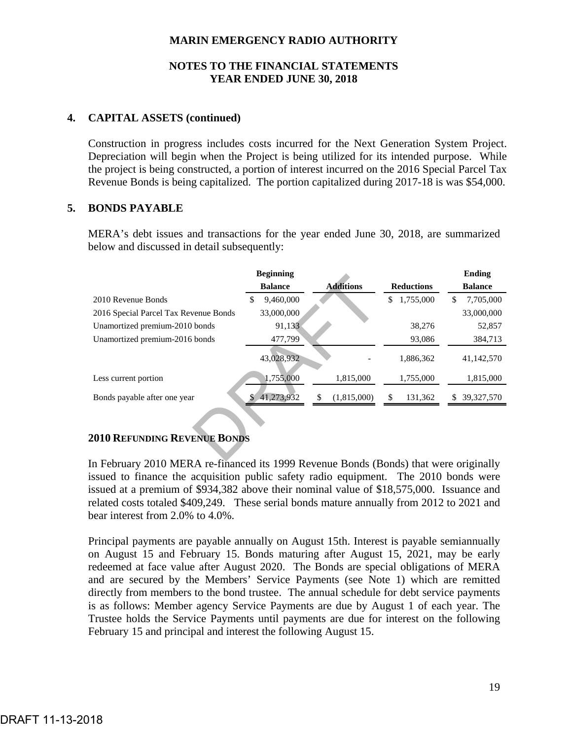#### **NOTES TO THE FINANCIAL STATEMENTS YEAR ENDED JUNE 30, 2018**

# **4. CAPITAL ASSETS (continued)**

Construction in progress includes costs incurred for the Next Generation System Project. Depreciation will begin when the Project is being utilized for its intended purpose. While the project is being constructed, a portion of interest incurred on the 2016 Special Parcel Tax Revenue Bonds is being capitalized. The portion capitalized during 2017-18 is was \$54,000.

#### **5. BONDS PAYABLE**

MERA's debt issues and transactions for the year ended June 30, 2018, are summarized below and discussed in detail subsequently:

|                                       | <b>Beginning</b> |                  |                                                                               | <b>Ending</b>   |
|---------------------------------------|------------------|------------------|-------------------------------------------------------------------------------|-----------------|
|                                       | <b>Balance</b>   | <b>Additions</b> | <b>Reductions</b>                                                             | <b>Balance</b>  |
| 2010 Revenue Bonds                    | 9,460,000<br>S   |                  | 1,755,000<br>\$                                                               | 7,705,000<br>S  |
| 2016 Special Parcel Tax Revenue Bonds | 33,000,000       |                  |                                                                               | 33,000,000      |
| Unamortized premium-2010 bonds        | 91,133           |                  | 38,276                                                                        | 52,857          |
| Unamortized premium-2016 bonds        | 477,799          |                  | 93,086                                                                        | 384,713         |
|                                       | 43,028,932       |                  | 1,886,362                                                                     | 41,142,570      |
| Less current portion                  | 1,755,000        | 1,815,000        | 1,755,000                                                                     | 1,815,000       |
| Bonds payable after one year          | 41,273,932       | (1,815,000)<br>S | \$<br>131,362                                                                 | 39,327,570<br>S |
| <b>2010 REFUNDING REVENUE BONDS</b>   |                  |                  |                                                                               |                 |
| $0.103$ mm<br>. <del>.</del> 1        | 1.11000          |                  | $\mathbf{D}$ $\mathbf{1}$ $\mathbf{D}$ $\mathbf{1}$ $\mathbf{1}$ $\mathbf{1}$ |                 |

# **2010 REFUNDING REVENUE BONDS**

In February 2010 MERA re-financed its 1999 Revenue Bonds (Bonds) that were originally issued to finance the acquisition public safety radio equipment. The 2010 bonds were issued at a premium of \$934,382 above their nominal value of \$18,575,000. Issuance and related costs totaled \$409,249. These serial bonds mature annually from 2012 to 2021 and bear interest from 2.0% to 4.0%.

Principal payments are payable annually on August 15th. Interest is payable semiannually on August 15 and February 15. Bonds maturing after August 15, 2021, may be early redeemed at face value after August 2020. The Bonds are special obligations of MERA and are secured by the Members' Service Payments (see Note 1) which are remitted directly from members to the bond trustee. The annual schedule for debt service payments is as follows: Member agency Service Payments are due by August 1 of each year. The Trustee holds the Service Payments until payments are due for interest on the following February 15 and principal and interest the following August 15.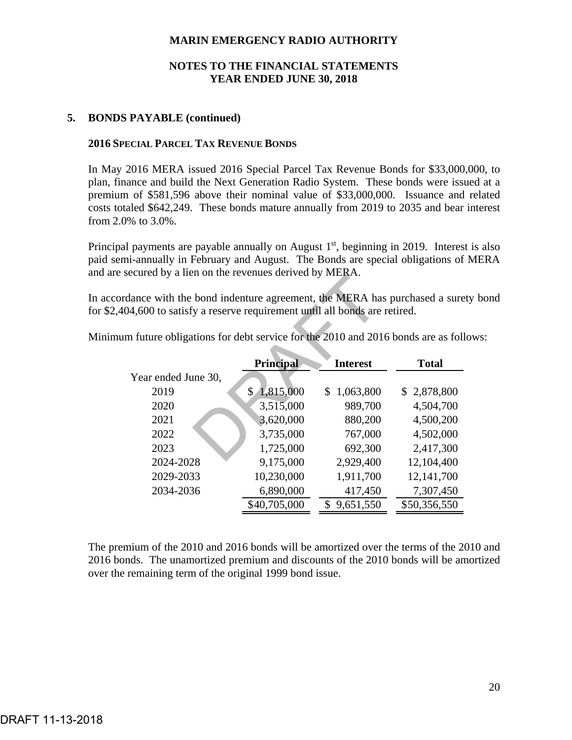#### **NOTES TO THE FINANCIAL STATEMENTS YEAR ENDED JUNE 30, 2018**

#### **5. BONDS PAYABLE (continued)**

#### **2016 SPECIAL PARCEL TAX REVENUE BONDS**

In May 2016 MERA issued 2016 Special Parcel Tax Revenue Bonds for \$33,000,000, to plan, finance and build the Next Generation Radio System. These bonds were issued at a premium of \$581,596 above their nominal value of \$33,000,000. Issuance and related costs totaled \$642,249. These bonds mature annually from 2019 to 2035 and bear interest from 2.0% to 3.0%.

Principal payments are payable annually on August  $1<sup>st</sup>$ , beginning in 2019. Interest is also paid semi-annually in February and August. The Bonds are special obligations of MERA and are secured by a lien on the revenues derived by MERA.

In accordance with the bond indenture agreement, the MERA has purchased a surety bond for \$2,404,600 to satisfy a reserve requirement until all bonds are retired.

| teared by a field on the revenues defived by MERTA.                                                                                          |                  |                 |              |  |  |  |  |
|----------------------------------------------------------------------------------------------------------------------------------------------|------------------|-----------------|--------------|--|--|--|--|
| ance with the bond indenture agreement, the MERA has purchased a sure<br>4,600 to satisfy a reserve requirement until all bonds are retired. |                  |                 |              |  |  |  |  |
| If future obligations for debt service for the 2010 and 2016 bonds are as foll                                                               |                  |                 |              |  |  |  |  |
|                                                                                                                                              | <b>Principal</b> | <b>Interest</b> | <b>Total</b> |  |  |  |  |
| Year ended June 30,                                                                                                                          |                  |                 |              |  |  |  |  |
| 2019                                                                                                                                         | \$1,815,000      | \$1,063,800     | \$2,878,800  |  |  |  |  |
| 2020                                                                                                                                         | 3,515,000        | 989,700         | 4,504,700    |  |  |  |  |
| 2021                                                                                                                                         | 3,620,000        | 880,200         | 4,500,200    |  |  |  |  |
| 2022                                                                                                                                         | 3,735,000        | 767,000         | 4,502,000    |  |  |  |  |
| 2023                                                                                                                                         | 1,725,000        | 692,300         | 2,417,300    |  |  |  |  |
| 2024-2028                                                                                                                                    | 9,175,000        | 2,929,400       | 12,104,400   |  |  |  |  |
| 2029-2033                                                                                                                                    | 10,230,000       | 1,911,700       | 12,141,700   |  |  |  |  |
| 2034-2036                                                                                                                                    | 6,890,000        | 417,450         | 7,307,450    |  |  |  |  |
|                                                                                                                                              | \$40,705,000     | 9,651,550       | \$50,356,550 |  |  |  |  |
|                                                                                                                                              |                  |                 |              |  |  |  |  |

Minimum future obligations for debt service for the 2010 and 2016 bonds are as follows:

The premium of the 2010 and 2016 bonds will be amortized over the terms of the 2010 and 2016 bonds. The unamortized premium and discounts of the 2010 bonds will be amortized over the remaining term of the original 1999 bond issue.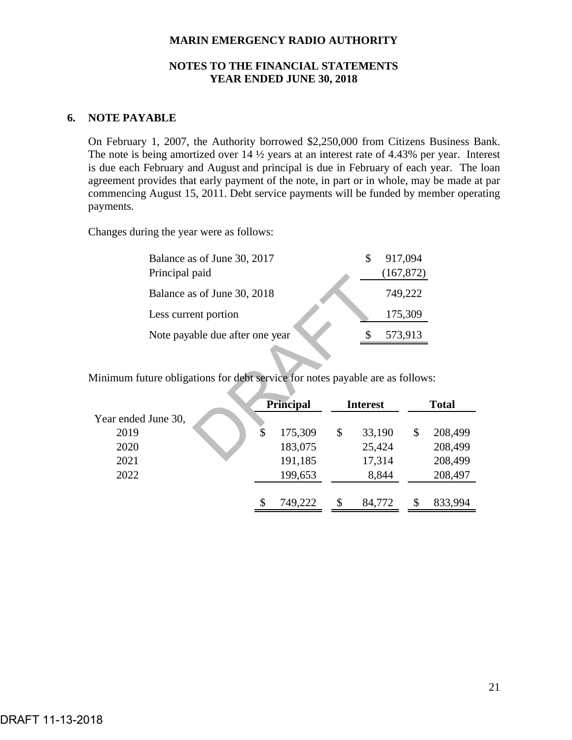#### **NOTES TO THE FINANCIAL STATEMENTS YEAR ENDED JUNE 30, 2018**

#### **6. NOTE PAYABLE**

On February 1, 2007, the Authority borrowed \$2,250,000 from Citizens Business Bank. The note is being amortized over 14 ½ years at an interest rate of 4.43% per year. Interest is due each February and August and principal is due in February of each year. The loan agreement provides that early payment of the note, in part or in whole, may be made at par commencing August 15, 2011. Debt service payments will be funded by member operating payments.

Changes during the year were as follows:

| Balance as of June 30, 2017                                        |                  | \$              |        | 917,094    |
|--------------------------------------------------------------------|------------------|-----------------|--------|------------|
| Principal paid                                                     |                  |                 |        | (167, 872) |
| Balance as of June 30, 2018                                        |                  |                 |        | 749,222    |
| Less current portion                                               |                  |                 |        | 175,309    |
| Note payable due after one year                                    |                  |                 |        | 573,913    |
| ture obligations for debt service for notes payable are as follows |                  |                 |        |            |
|                                                                    | <b>Principal</b> | <b>Interest</b> |        |            |
| June 30,                                                           |                  |                 |        |            |
|                                                                    | \$<br>175,309    | \$              | 33,190 | \$         |
|                                                                    | 183,075          |                 | 25,424 |            |
|                                                                    | 101 195          |                 | 17.31A |            |

Minimum future obligations for debt service for notes payable are as follows:

|                     |  | <b>Principal</b> | <b>Interest</b> | <b>Total</b>  |
|---------------------|--|------------------|-----------------|---------------|
| Year ended June 30, |  |                  |                 |               |
| 2019                |  | 175,309          | \$<br>33,190    | \$<br>208,499 |
| 2020                |  | 183,075          | 25,424          | 208,499       |
| 2021                |  | 191,185          | 17,314          | 208,499       |
| 2022                |  | 199,653          | 8,844           | 208,497       |
|                     |  |                  |                 |               |
|                     |  | 749,222          | \$<br>84,772    | 833,994       |
|                     |  |                  |                 |               |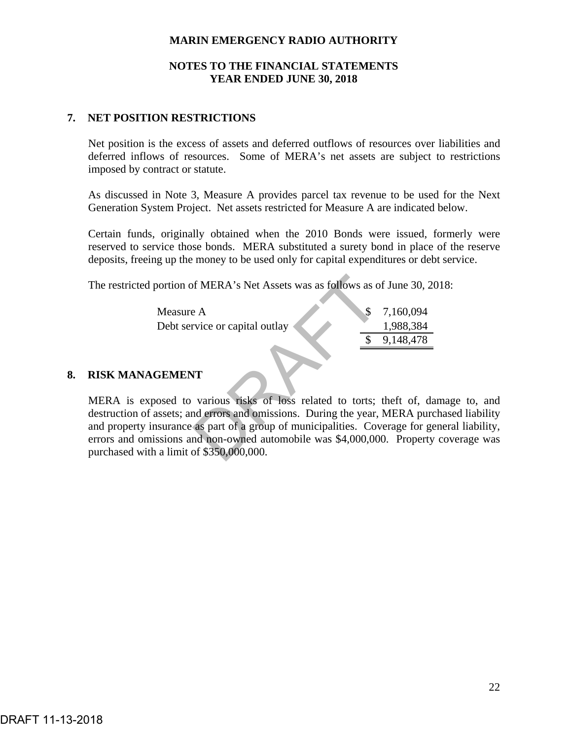#### **NOTES TO THE FINANCIAL STATEMENTS YEAR ENDED JUNE 30, 2018**

#### **7. NET POSITION RESTRICTIONS**

Net position is the excess of assets and deferred outflows of resources over liabilities and deferred inflows of resources. Some of MERA's net assets are subject to restrictions imposed by contract or statute.

As discussed in Note 3, Measure A provides parcel tax revenue to be used for the Next Generation System Project. Net assets restricted for Measure A are indicated below.

Certain funds, originally obtained when the 2010 Bonds were issued, formerly were reserved to service those bonds. MERA substituted a surety bond in place of the reserve deposits, freeing up the money to be used only for capital expenditures or debt service.

The restricted portion of MERA's Net Assets was as follows as of June 30, 2018:

| Measure A                      | 7,160,094 |
|--------------------------------|-----------|
| Debt service or capital outlay | 1,988,384 |
|                                | 9,148,478 |
|                                |           |

# **8. RISK MANAGEMENT**

MERA is exposed to various risks of loss related to torts; theft of, damage to, and destruction of assets; and errors and omissions. During the year, MERA purchased liability and property insurance as part of a group of municipalities. Coverage for general liability, errors and omissions and non-owned automobile was \$4,000,000. Property coverage was purchased with a limit of \$350,000,000. of MERA's Net Assets was as follows as of J<br>
e A<br>  $\frac{1}{3}$ <br>  $\frac{1}{3}$ <br>  $\frac{1}{3}$ <br>
T<br>
T<br>
T<br>
T<br>
various risks of loss related to torts; the<br>
nd errors and omissions. During the year, M<br>
as part of a group of municipalities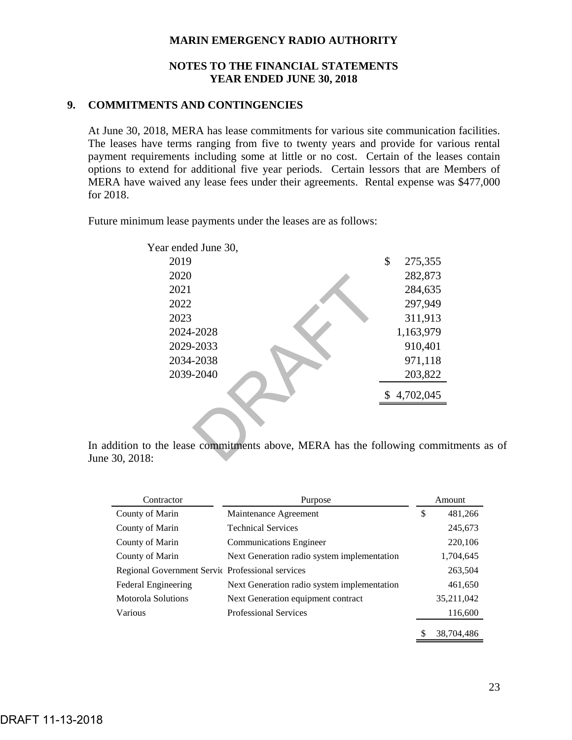#### **NOTES TO THE FINANCIAL STATEMENTS YEAR ENDED JUNE 30, 2018**

# **9. COMMITMENTS AND CONTINGENCIES**

At June 30, 2018, MERA has lease commitments for various site communication facilities. The leases have terms ranging from five to twenty years and provide for various rental payment requirements including some at little or no cost. Certain of the leases contain options to extend for additional five year periods. Certain lessors that are Members of MERA have waived any lease fees under their agreements. Rental expense was \$477,000 for 2018.

Future minimum lease payments under the leases are as follows:

| Year ended June 30,                                        |               |
|------------------------------------------------------------|---------------|
| 2019                                                       | \$<br>275,355 |
| 2020                                                       | 282,873       |
| 2021                                                       | 284,635       |
| 2022                                                       | 297,949       |
| 2023                                                       | 311,913       |
| 2024-2028                                                  | 1,163,979     |
| 2029-2033                                                  | 910,401       |
| 2034-2038                                                  | 971,118       |
| 2039-2040                                                  | 203,822       |
|                                                            | 4,702,045     |
|                                                            |               |
| o the lease commitments above, MERA has the following comm |               |
| 8.                                                         |               |

In addition to the lease commitments above, MERA has the following commitments as of June 30, 2018:

| Contractor                                       | Purpose                                     |    | Amount     |
|--------------------------------------------------|---------------------------------------------|----|------------|
| County of Marin                                  | Maintenance Agreement                       | \$ | 481,266    |
| County of Marin                                  | <b>Technical Services</b>                   |    | 245,673    |
| County of Marin                                  | <b>Communications Engineer</b>              |    | 220,106    |
| County of Marin                                  | Next Generation radio system implementation |    | 1,704,645  |
| Regional Government Servic Professional services |                                             |    | 263,504    |
| Federal Engineering                              | Next Generation radio system implementation |    | 461,650    |
| <b>Motorola Solutions</b>                        | Next Generation equipment contract          |    | 35,211,042 |
| Various                                          | <b>Professional Services</b>                |    | 116,600    |
|                                                  |                                             | SБ | 38,704,486 |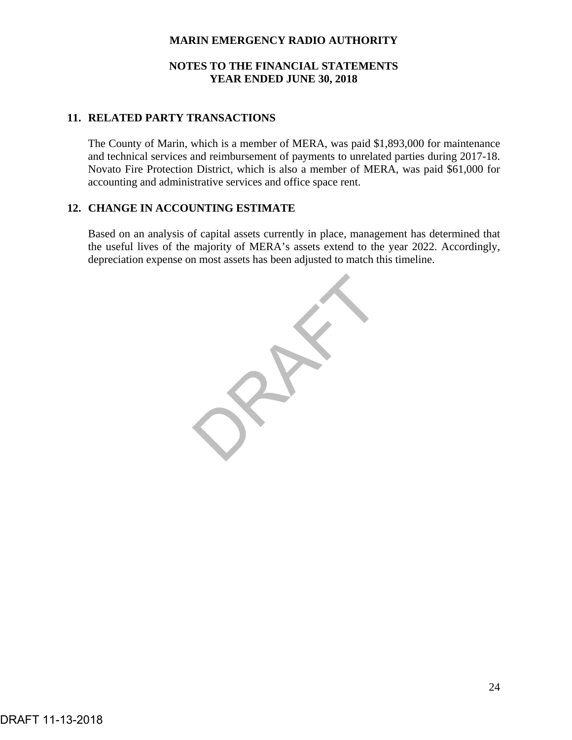#### **NOTES TO THE FINANCIAL STATEMENTS YEAR ENDED JUNE 30, 2018**

## **11. RELATED PARTY TRANSACTIONS**

The County of Marin, which is a member of MERA, was paid \$1,893,000 for maintenance and technical services and reimbursement of payments to unrelated parties during 2017-18. Novato Fire Protection District, which is also a member of MERA, was paid \$61,000 for accounting and administrative services and office space rent.

#### **12. CHANGE IN ACCOUNTING ESTIMATE**

Based on an analysis of capital assets currently in place, management has determined that the useful lives of the majority of MERA's assets extend to the year 2022. Accordingly, depreciation expense on most assets has been adjusted to match this timeline.

PRAFT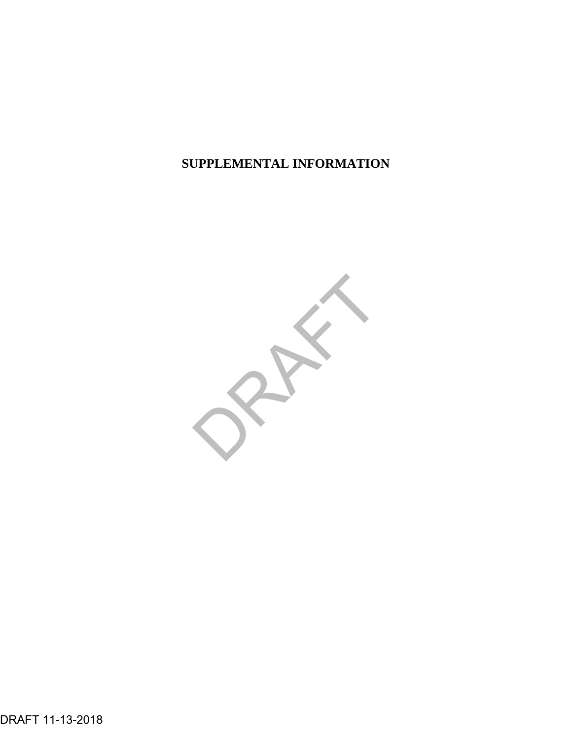# **SUPPLEMENTAL INFORMATION**

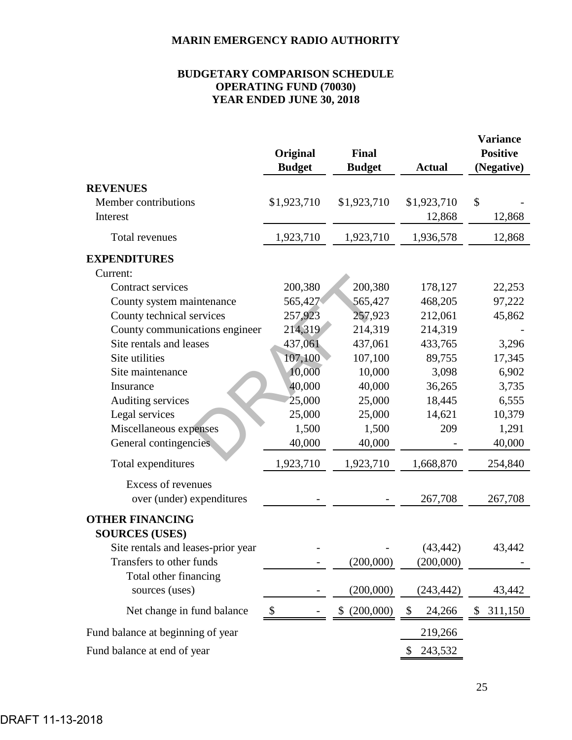# **BUDGETARY COMPARISON SCHEDULE OPERATING FUND (70030) YEAR ENDED JUNE 30, 2018**

|                                    |                           |               |               | <b>Variance</b> |
|------------------------------------|---------------------------|---------------|---------------|-----------------|
|                                    | Original                  | <b>Final</b>  |               | <b>Positive</b> |
|                                    | <b>Budget</b>             | <b>Budget</b> | <b>Actual</b> | (Negative)      |
| <b>REVENUES</b>                    |                           |               |               |                 |
| Member contributions               | \$1,923,710               | \$1,923,710   | \$1,923,710   | \$              |
| Interest                           |                           |               | 12,868        | 12,868          |
| Total revenues                     | 1,923,710                 | 1,923,710     | 1,936,578     | 12,868          |
| <b>EXPENDITURES</b>                |                           |               |               |                 |
| Current:                           |                           |               |               |                 |
| <b>Contract services</b>           | 200,380                   | 200,380       | 178,127       | 22,253          |
| County system maintenance          | 565,427                   | 565,427       | 468,205       | 97,222          |
| County technical services          | 257,923                   | 257,923       | 212,061       | 45,862          |
| County communications engineer     | 214,319                   | 214,319       | 214,319       |                 |
| Site rentals and leases            | 437,061                   | 437,061       | 433,765       | 3,296           |
| Site utilities                     | 107,100                   | 107,100       | 89,755        | 17,345          |
| Site maintenance                   | 10,000                    | 10,000        | 3,098         | 6,902           |
| Insurance                          | 40,000                    | 40,000        | 36,265        | 3,735           |
| Auditing services                  | 25,000                    | 25,000        | 18,445        | 6,555           |
| Legal services                     | 25,000                    | 25,000        | 14,621        | 10,379          |
| Miscellaneous expenses             | 1,500                     | 1,500         | 209           | 1,291           |
| General contingencies              | 40,000                    | 40,000        |               | 40,000          |
| Total expenditures                 | 1,923,710                 | 1,923,710     | 1,668,870     | 254,840         |
| Excess of revenues                 |                           |               |               |                 |
| over (under) expenditures          |                           |               | 267,708       | 267,708         |
| <b>OTHER FINANCING</b>             |                           |               |               |                 |
| <b>SOURCES (USES)</b>              |                           |               |               |                 |
| Site rentals and leases-prior year |                           |               | (43, 442)     | 43,442          |
| Transfers to other funds           |                           | (200,000)     | (200,000)     |                 |
| Total other financing              |                           |               |               |                 |
| sources (uses)                     |                           | (200,000)     | (243, 442)    | 43,442          |
| Net change in fund balance         | $\boldsymbol{\mathsf{S}}$ | (200,000)     | \$<br>24,266  | 311,150<br>\$   |
| Fund balance at beginning of year  |                           |               | 219,266       |                 |
| Fund balance at end of year        |                           |               | 243,532       |                 |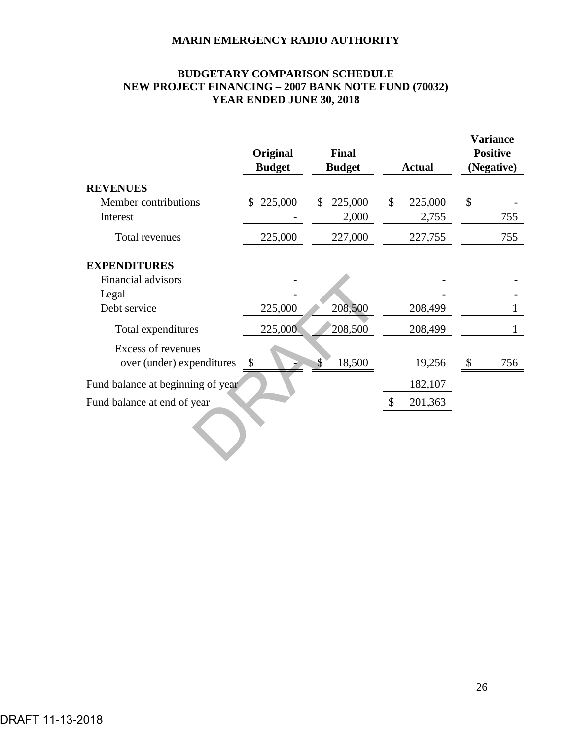# **BUDGETARY COMPARISON SCHEDULE NEW PROJECT FINANCING – 2007 BANK NOTE FUND (70032) YEAR ENDED JUNE 30, 2018**

|                                   | Original                | Final         |                          | <b>Variance</b><br><b>Positive</b> |  |
|-----------------------------------|-------------------------|---------------|--------------------------|------------------------------------|--|
|                                   | <b>Budget</b>           | <b>Budget</b> | <b>Actual</b>            | (Negative)                         |  |
| <b>REVENUES</b>                   |                         |               |                          |                                    |  |
| Member contributions              | 225,000<br>$\mathbb{S}$ | 225,000<br>\$ | \$<br>225,000            | \$                                 |  |
| Interest                          |                         | 2,000         | 2,755                    | 755                                |  |
| Total revenues                    | 225,000                 | 227,000       | 227,755                  | 755                                |  |
| <b>EXPENDITURES</b>               |                         |               |                          |                                    |  |
| Financial advisors                |                         |               |                          |                                    |  |
| Legal                             |                         |               |                          |                                    |  |
| Debt service                      | 225,000                 | 208,500       | 208,499                  | 1                                  |  |
| Total expenditures                | 225,000                 | 208,500       | 208,499                  | 1                                  |  |
| <b>Excess of revenues</b>         |                         |               |                          |                                    |  |
| over (under) expenditures         | $\mathcal{S}$           | \$<br>18,500  | 19,256                   | $\boldsymbol{\mathsf{S}}$<br>756   |  |
| Fund balance at beginning of year |                         |               | 182,107                  |                                    |  |
| Fund balance at end of year       |                         |               | 201,363<br>$\mathcal{S}$ |                                    |  |
|                                   |                         |               |                          |                                    |  |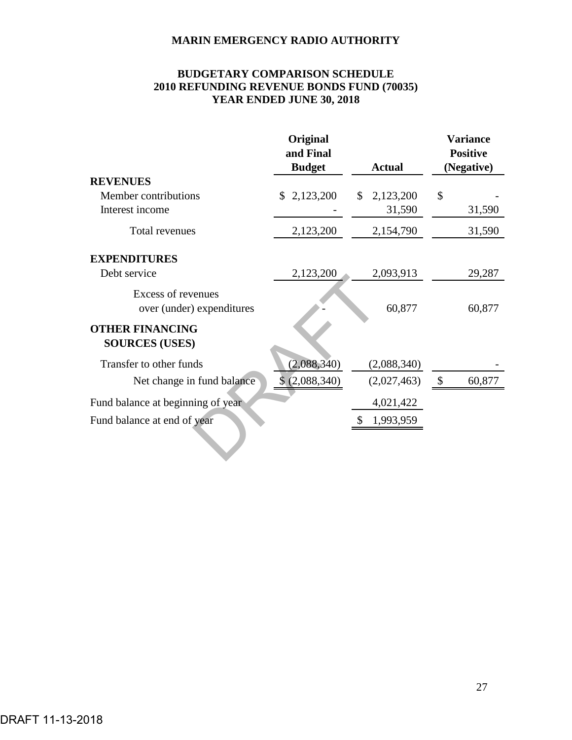# **BUDGETARY COMPARISON SCHEDULE 2010 REFUNDING REVENUE BONDS FUND (70035) YEAR ENDED JUNE 30, 2018**

|                                                        | Original<br>and Final<br><b>Budget</b> | <b>Actual</b>   | <b>Variance</b><br><b>Positive</b><br>(Negative) |
|--------------------------------------------------------|----------------------------------------|-----------------|--------------------------------------------------|
| <b>REVENUES</b>                                        |                                        |                 |                                                  |
| Member contributions                                   | 2,123,200<br>S.                        | 2,123,200<br>\$ | \$                                               |
| Interest income                                        |                                        | 31,590          | 31,590                                           |
| Total revenues                                         | 2,123,200                              | 2,154,790       | 31,590                                           |
| <b>EXPENDITURES</b>                                    |                                        |                 |                                                  |
| Debt service                                           | 2,123,200                              | 2,093,913       | 29,287                                           |
| <b>Excess of revenues</b><br>over (under) expenditures |                                        | 60,877          | 60,877                                           |
| <b>OTHER FINANCING</b><br><b>SOURCES (USES)</b>        |                                        |                 |                                                  |
| Transfer to other funds                                | (2,088,340)                            | (2,088,340)     |                                                  |
| Net change in fund balance                             | \$(2,088,340)                          | (2,027,463)     | $\boldsymbol{\mathsf{S}}$<br>60,877              |
| Fund balance at beginning of year                      |                                        | 4,021,422       |                                                  |
| Fund balance at end of year                            |                                        | 1,993,959       |                                                  |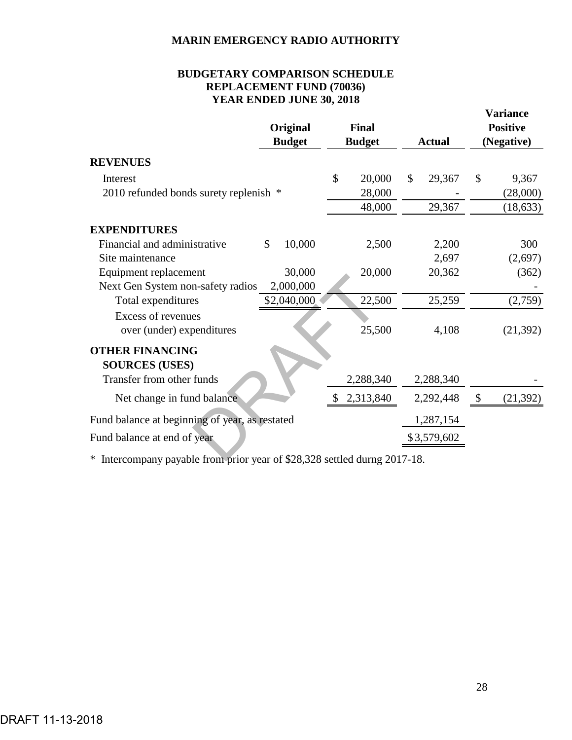# **BUDGETARY COMPARISON SCHEDULE REPLACEMENT FUND (70036) YEAR ENDED JUNE 30, 2018**

|                                                                              | Original      | <b>Final</b>    |               |               |                           | <b>Variance</b><br><b>Positive</b> |
|------------------------------------------------------------------------------|---------------|-----------------|---------------|---------------|---------------------------|------------------------------------|
|                                                                              | <b>Budget</b> | <b>Budget</b>   |               | <b>Actual</b> | (Negative)                |                                    |
| <b>REVENUES</b>                                                              |               |                 |               |               |                           |                                    |
| Interest                                                                     |               | \$<br>20,000    | $\mathcal{S}$ | 29,367        | $\mathcal{S}$             | 9,367                              |
| 2010 refunded bonds surety replenish *                                       |               | 28,000          |               |               |                           | (28,000)                           |
|                                                                              |               | 48,000          |               | 29,367        |                           | (18, 633)                          |
| <b>EXPENDITURES</b>                                                          |               |                 |               |               |                           |                                    |
| Financial and administrative                                                 | \$<br>10,000  | 2,500           |               | 2,200         |                           | 300                                |
| Site maintenance                                                             |               |                 |               | 2,697         |                           | (2,697)                            |
| Equipment replacement                                                        | 30,000        | 20,000          |               | 20,362        |                           | (362)                              |
| Next Gen System non-safety radios                                            | 2,000,000     |                 |               |               |                           |                                    |
| Total expenditures                                                           | \$2,040,000   | 22,500          |               | 25,259        |                           | (2,759)                            |
| Excess of revenues                                                           |               |                 |               |               |                           |                                    |
| over (under) expenditures                                                    |               | 25,500          |               | 4,108         |                           | (21, 392)                          |
| <b>OTHER FINANCING</b>                                                       |               |                 |               |               |                           |                                    |
| <b>SOURCES (USES)</b>                                                        |               |                 |               |               |                           |                                    |
| Transfer from other funds                                                    |               | 2,288,340       |               | 2,288,340     |                           |                                    |
| Net change in fund balance                                                   |               | \$<br>2,313,840 |               | 2,292,448     | $\boldsymbol{\mathsf{S}}$ | (21, 392)                          |
| Fund balance at beginning of year, as restated                               |               |                 |               | 1,287,154     |                           |                                    |
| Fund balance at end of year.                                                 |               |                 |               | \$3,579,602   |                           |                                    |
| $*$ Intercompany payable from prior year of \$28,328 settled durng $2017-18$ |               |                 |               |               |                           |                                    |

\* Intercompany payable from prior year of \$28,328 settled durng 2017-18.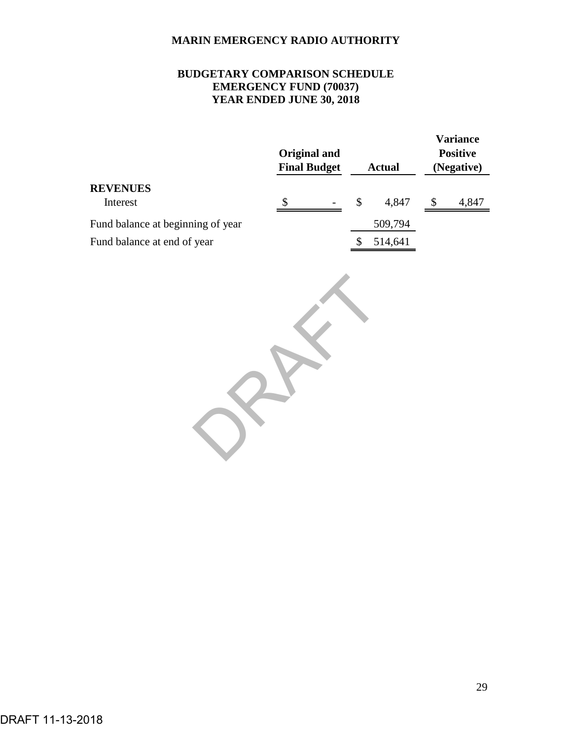# **BUDGETARY COMPARISON SCHEDULE EMERGENCY FUND (70037) YEAR ENDED JUNE 30, 2018**

|                                   | Original and<br><b>Final Budget</b> | <b>Actual</b> | <b>Variance</b><br><b>Positive</b><br>(Negative) |
|-----------------------------------|-------------------------------------|---------------|--------------------------------------------------|
| <b>REVENUES</b><br>Interest       | \$                                  | S<br>4.847    | S<br>4,847                                       |
| Fund balance at beginning of year |                                     | 509,794       |                                                  |
| Fund balance at end of year       |                                     | 514,641       |                                                  |

PRAFT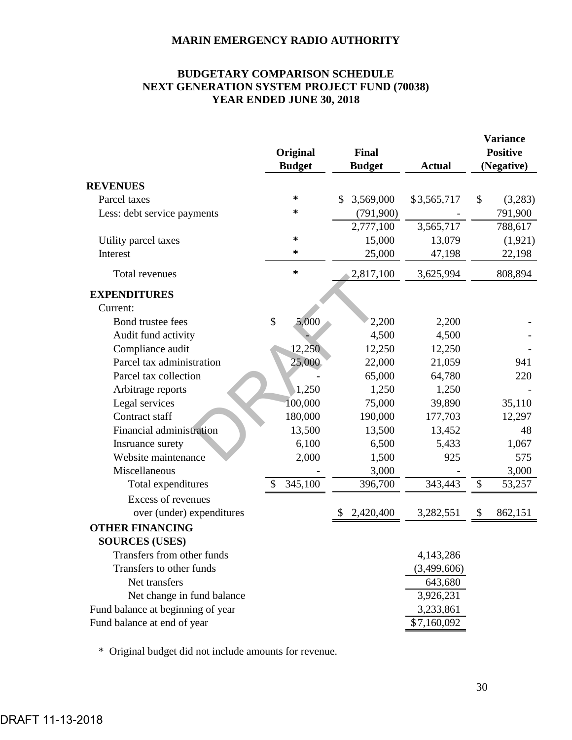# **BUDGETARY COMPARISON SCHEDULE NEXT GENERATION SYSTEM PROJECT FUND (70038) YEAR ENDED JUNE 30, 2018**

|                                   |               |                 |               | <b>Variance</b> |
|-----------------------------------|---------------|-----------------|---------------|-----------------|
|                                   | Original      | <b>Final</b>    |               | <b>Positive</b> |
|                                   | <b>Budget</b> | <b>Budget</b>   | <b>Actual</b> | (Negative)      |
| <b>REVENUES</b>                   |               |                 |               |                 |
| Parcel taxes                      | ∗             | 3,569,000<br>\$ | \$3,565,717   | (3,283)<br>\$   |
| Less: debt service payments       | *             | (791,900)       |               | 791,900         |
|                                   |               | 2,777,100       | 3,565,717     | 788,617         |
| Utility parcel taxes              | ∗             | 15,000          | 13,079        | (1, 921)        |
| Interest                          | *             | 25,000          | 47,198        | 22,198          |
| Total revenues                    | ∗             | 2,817,100       | 3,625,994     | 808,894         |
| <b>EXPENDITURES</b>               |               |                 |               |                 |
| Current:                          |               |                 |               |                 |
| Bond trustee fees                 | \$<br>5,000   | 2,200           | 2,200         |                 |
| Audit fund activity               |               | 4,500           | 4,500         |                 |
| Compliance audit                  | 12,250        | 12,250          | 12,250        |                 |
| Parcel tax administration         | 25,000        | 22,000          | 21,059        | 941             |
| Parcel tax collection             |               | 65,000          | 64,780        | 220             |
| Arbitrage reports                 | 1,250         | 1,250           | 1,250         |                 |
| Legal services                    | 100,000       | 75,000          | 39,890        | 35,110          |
| Contract staff                    | 180,000       | 190,000         | 177,703       | 12,297          |
| Financial administration          | 13,500        | 13,500          | 13,452        | 48              |
| Insruance surety                  | 6,100         | 6,500           | 5,433         | 1,067           |
| Website maintenance               | 2,000         | 1,500           | 925           | 575             |
| Miscellaneous                     |               | 3,000           |               | 3,000           |
| Total expenditures                | 345,100<br>S  | 396,700         | 343,443       | \$<br>53,257    |
| <b>Excess of revenues</b>         |               |                 |               |                 |
| over (under) expenditures         |               | 2,420,400       | 3,282,551     | 862,151<br>\$   |
| <b>OTHER FINANCING</b>            |               |                 |               |                 |
| <b>SOURCES (USES)</b>             |               |                 |               |                 |
| Transfers from other funds        |               |                 | 4,143,286     |                 |
| Transfers to other funds          |               |                 | (3,499,606)   |                 |
| Net transfers                     |               |                 | 643,680       |                 |
| Net change in fund balance        |               |                 | 3,926,231     |                 |
| Fund balance at beginning of year |               |                 | 3,233,861     |                 |
| Fund balance at end of year       |               |                 | \$7,160,092   |                 |

\* Original budget did not include amounts for revenue.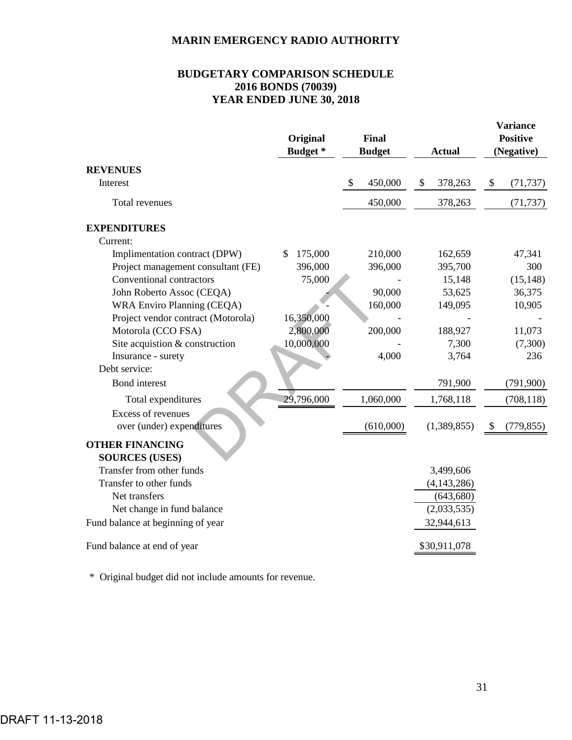# **BUDGETARY COMPARISON SCHEDULE 2016 BONDS (70039) YEAR ENDED JUNE 30, 2018**

|                                                 | Original<br><b>Budget</b> * | <b>Final</b><br><b>Budget</b> |           | <b>Actual</b> |               | <b>Variance</b><br><b>Positive</b><br>(Negative) |            |  |
|-------------------------------------------------|-----------------------------|-------------------------------|-----------|---------------|---------------|--------------------------------------------------|------------|--|
| <b>REVENUES</b>                                 |                             |                               |           |               |               |                                                  |            |  |
| Interest                                        |                             | $\mathcal{S}$                 | 450,000   | \$            | 378,263       | \$                                               | (71, 737)  |  |
| Total revenues                                  |                             |                               | 450,000   |               | 378,263       |                                                  | (71, 737)  |  |
| <b>EXPENDITURES</b>                             |                             |                               |           |               |               |                                                  |            |  |
| Current:                                        |                             |                               |           |               |               |                                                  |            |  |
| Implimentation contract (DPW)                   | 175,000<br>\$               |                               | 210,000   |               | 162,659       |                                                  | 47,341     |  |
| Project management consultant (FE)              | 396,000                     |                               | 396,000   |               | 395,700       |                                                  | 300        |  |
| Conventional contractors                        | 75,000                      |                               |           |               | 15,148        |                                                  | (15, 148)  |  |
| John Roberto Assoc (CEQA)                       |                             |                               | 90,000    |               | 53,625        |                                                  | 36,375     |  |
| WRA Enviro Planning (CEQA)                      |                             |                               | 160,000   |               | 149,095       |                                                  | 10,905     |  |
| Project vendor contract (Motorola)              | 16,350,000                  |                               |           |               |               |                                                  |            |  |
| Motorola (CCO FSA)                              | 2,800,000                   |                               | 200,000   |               | 188,927       |                                                  | 11,073     |  |
| Site acquistion & construction                  | 10,000,000                  |                               |           |               | 7,300         |                                                  | (7,300)    |  |
| Insurance - surety                              |                             |                               | 4,000     |               | 3,764         |                                                  | 236        |  |
| Debt service:                                   |                             |                               |           |               |               |                                                  |            |  |
| <b>Bond</b> interest                            |                             |                               |           |               | 791,900       |                                                  | (791,900)  |  |
| Total expenditures                              | 29,796,000                  |                               | 1,060,000 |               | 1,768,118     |                                                  | (708, 118) |  |
| Excess of revenues<br>over (under) expenditures |                             |                               | (610,000) |               | (1,389,855)   | $\boldsymbol{\mathsf{S}}$                        | (779, 855) |  |
| <b>OTHER FINANCING</b>                          |                             |                               |           |               |               |                                                  |            |  |
| <b>SOURCES (USES)</b>                           |                             |                               |           |               |               |                                                  |            |  |
| Transfer from other funds                       |                             |                               |           |               | 3,499,606     |                                                  |            |  |
| Transfer to other funds                         |                             |                               |           |               | (4, 143, 286) |                                                  |            |  |
| Net transfers                                   |                             |                               |           |               | (643, 680)    |                                                  |            |  |
| Net change in fund balance                      |                             |                               |           |               | (2,033,535)   |                                                  |            |  |
| Fund balance at beginning of year               |                             |                               |           |               | 32,944,613    |                                                  |            |  |
| Fund balance at end of year                     |                             |                               |           |               | \$30,911,078  |                                                  |            |  |

\* Original budget did not include amounts for revenue.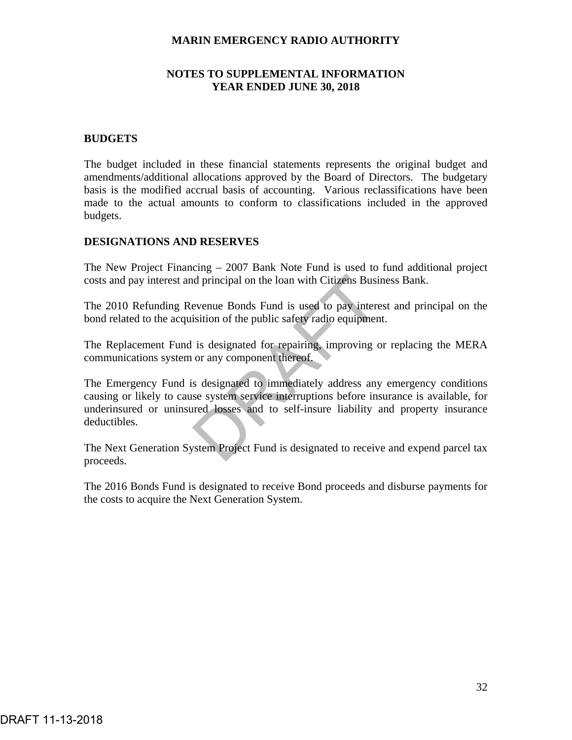#### **NOTES TO SUPPLEMENTAL INFORMATION YEAR ENDED JUNE 30, 2018**

#### **BUDGETS**

The budget included in these financial statements represents the original budget and amendments/additional allocations approved by the Board of Directors. The budgetary basis is the modified accrual basis of accounting. Various reclassifications have been made to the actual amounts to conform to classifications included in the approved budgets.

#### **DESIGNATIONS AND RESERVES**

The New Project Financing – 2007 Bank Note Fund is used to fund additional project costs and pay interest and principal on the loan with Citizens Business Bank.

The 2010 Refunding Revenue Bonds Fund is used to pay interest and principal on the bond related to the acquisition of the public safety radio equipment.

The Replacement Fund is designated for repairing, improving or replacing the MERA communications system or any component thereof.

The Emergency Fund is designated to immediately address any emergency conditions causing or likely to cause system service interruptions before insurance is available, for underinsured or uninsured losses and to self-insure liability and property insurance deductibles. dependency of the loan with Citizens Busines<br>
evenue Bonds Fund is used to pay interest<br>
is ition of the public safety radio equipment.<br>
is designated for repairing, improving or 1<br>
or any component thereof.<br>
See designate

The Next Generation System Project Fund is designated to receive and expend parcel tax proceeds.

The 2016 Bonds Fund is designated to receive Bond proceeds and disburse payments for the costs to acquire the Next Generation System.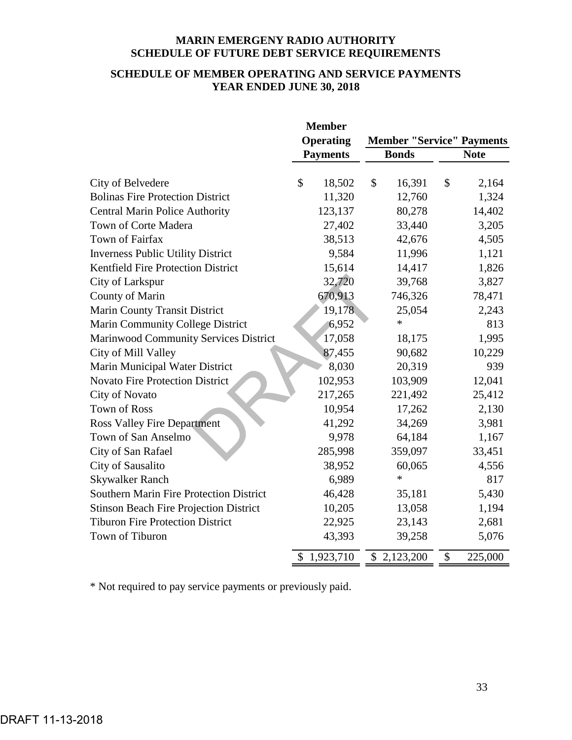#### **MARIN EMERGENY RADIO AUTHORITY SCHEDULE OF FUTURE DEBT SERVICE REQUIREMENTS**

# **SCHEDULE OF MEMBER OPERATING AND SERVICE PAYMENTS YEAR ENDED JUNE 30, 2018**

|                                                |                  | <b>Member</b>   |              |                                  |             |  |
|------------------------------------------------|------------------|-----------------|--------------|----------------------------------|-------------|--|
|                                                | <b>Operating</b> |                 |              | <b>Member "Service" Payments</b> |             |  |
|                                                |                  | <b>Payments</b> | <b>Bonds</b> |                                  | <b>Note</b> |  |
| City of Belvedere                              | \$               | 18,502          | \$<br>16,391 | \$                               | 2,164       |  |
| <b>Bolinas Fire Protection District</b>        |                  | 11,320          | 12,760       |                                  | 1,324       |  |
| <b>Central Marin Police Authority</b>          |                  | 123,137         | 80,278       |                                  | 14,402      |  |
| Town of Corte Madera                           |                  | 27,402          | 33,440       |                                  | 3,205       |  |
| Town of Fairfax                                |                  | 38,513          | 42,676       |                                  | 4,505       |  |
| <b>Inverness Public Utility District</b>       |                  | 9,584           | 11,996       |                                  | 1,121       |  |
| <b>Kentfield Fire Protection District</b>      |                  | 15,614          | 14,417       |                                  | 1,826       |  |
| City of Larkspur                               |                  | 32,720          | 39,768       |                                  | 3,827       |  |
| County of Marin                                |                  | 670,913         | 746,326      |                                  | 78,471      |  |
| Marin County Transit District                  |                  | 19,178          | 25,054       |                                  | 2,243       |  |
| Marin Community College District               |                  | 6,952           | *            |                                  | 813         |  |
| <b>Marinwood Community Services District</b>   |                  | 17,058          | 18,175       |                                  | 1,995       |  |
| City of Mill Valley                            |                  | 87,455          | 90,682       |                                  | 10,229      |  |
| Marin Municipal Water District                 |                  | 8,030           | 20,319       |                                  | 939         |  |
| <b>Novato Fire Protection District</b>         |                  | 102,953         | 103,909      |                                  | 12,041      |  |
| <b>City of Novato</b>                          |                  | 217,265         | 221,492      |                                  | 25,412      |  |
| <b>Town of Ross</b>                            |                  | 10,954          | 17,262       |                                  | 2,130       |  |
| <b>Ross Valley Fire Department</b>             |                  | 41,292          | 34,269       |                                  | 3,981       |  |
| Town of San Anselmo                            |                  | 9,978           | 64,184       |                                  | 1,167       |  |
| City of San Rafael                             |                  | 285,998         | 359,097      |                                  | 33,451      |  |
| City of Sausalito                              |                  | 38,952          | 60,065       |                                  | 4,556       |  |
| <b>Skywalker Ranch</b>                         |                  | 6,989           | $\ast$       |                                  | 817         |  |
| <b>Southern Marin Fire Protection District</b> |                  | 46,428          | 35,181       |                                  | 5,430       |  |
| <b>Stinson Beach Fire Projection District</b>  |                  | 10,205          | 13,058       |                                  | 1,194       |  |
| <b>Tiburon Fire Protection District</b>        |                  | 22,925          | 23,143       |                                  | 2,681       |  |
| Town of Tiburon                                |                  | 43,393          | 39,258       |                                  | 5,076       |  |
|                                                |                  | \$1,923,710     | \$2,123,200  | \$                               | 225,000     |  |

\* Not required to pay service payments or previously paid.